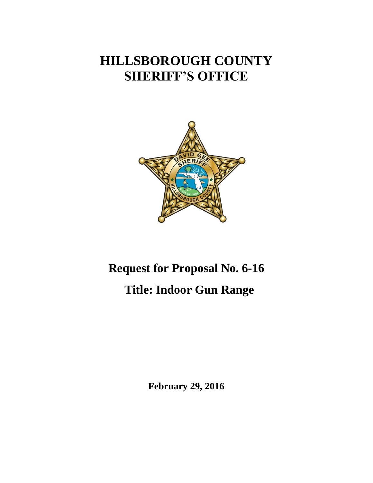## **HILLSBOROUGH COUNTY SHERIFF'S OFFICE**



# **Request for Proposal No. 6-16 Title: Indoor Gun Range**

**February 29, 2016**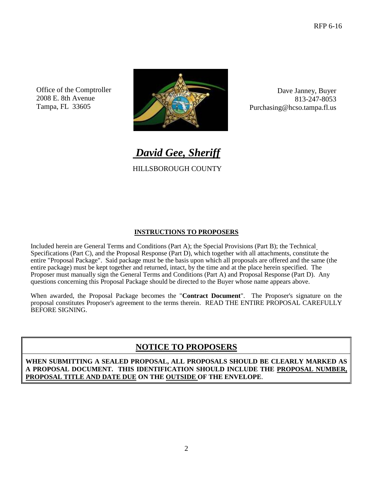Office of the Comptroller 2008 E. 8th Avenue Tampa, FL 33605



Dave Janney, Buyer 813-247-8053 Purchasing@hcso.tampa.fl.us

*David Gee, Sheriff*

HILLSBOROUGH COUNTY

#### **INSTRUCTIONS TO PROPOSERS**

Included herein are General Terms and Conditions (Part A); the Special Provisions (Part B); the Technical Specifications (Part C), and the Proposal Response (Part D), which together with all attachments, constitute the entire "Proposal Package". Said package must be the basis upon which all proposals are offered and the same (the entire package) must be kept together and returned, intact, by the time and at the place herein specified. The Proposer must manually sign the General Terms and Conditions (Part A) and Proposal Response (Part D). Any questions concerning this Proposal Package should be directed to the Buyer whose name appears above.

When awarded, the Proposal Package becomes the "**Contract Document**". The Proposer's signature on the proposal constitutes Proposer's agreement to the terms therein. READ THE ENTIRE PROPOSAL CAREFULLY BEFORE SIGNING.

#### **NOTICE TO PROPOSERS**

**WHEN SUBMITTING A SEALED PROPOSAL, ALL PROPOSALS SHOULD BE CLEARLY MARKED AS A PROPOSAL DOCUMENT. THIS IDENTIFICATION SHOULD INCLUDE THE PROPOSAL NUMBER, PROPOSAL TITLE AND DATE DUE ON THE OUTSIDE OF THE ENVELOPE**.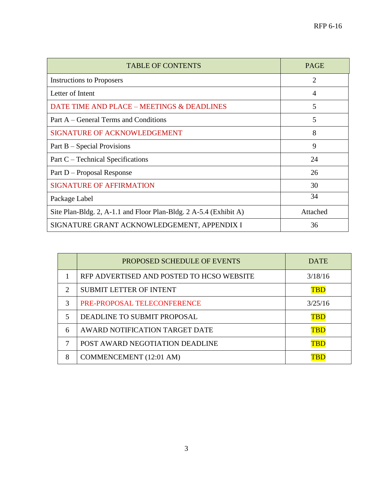| <b>TABLE OF CONTENTS</b>                                          | <b>PAGE</b>    |
|-------------------------------------------------------------------|----------------|
| <b>Instructions to Proposers</b>                                  | $\overline{2}$ |
| Letter of Intent                                                  | 4              |
| DATE TIME AND PLACE - MEETINGS & DEADLINES                        | 5              |
| Part A – General Terms and Conditions                             | 5              |
| <b>SIGNATURE OF ACKNOWLEDGEMENT</b>                               | 8              |
| Part B – Special Provisions                                       | 9              |
| Part C – Technical Specifications                                 | 24             |
| Part D – Proposal Response                                        | 26             |
| <b>SIGNATURE OF AFFIRMATION</b>                                   | 30             |
| Package Label                                                     | 34             |
| Site Plan-Bldg. 2, A-1.1 and Floor Plan-Bldg. 2 A-5.4 (Exhibit A) | Attached       |
| SIGNATURE GRANT ACKNOWLEDGEMENT, APPENDIX I                       | 36             |

|                             | <b>PROPOSED SCHEDULE OF EVENTS</b>        | <b>DATE</b> |
|-----------------------------|-------------------------------------------|-------------|
|                             | RFP ADVERTISED AND POSTED TO HCSO WEBSITE | 3/18/16     |
| $\mathcal{D}_{\mathcal{L}}$ | <b>SUBMIT LETTER OF INTENT</b>            | TBD         |
| $\mathcal{R}$               | PRE-PROPOSAL TELECONFERENCE               | 3/25/16     |
| 5                           | DEADLINE TO SUBMIT PROPOSAL               | TBD         |
| 6                           | AWARD NOTIFICATION TARGET DATE            | TBD         |
|                             | POST AWARD NEGOTIATION DEADLINE           | TBD         |
| 8                           | COMMENCEMENT (12:01 AM)                   |             |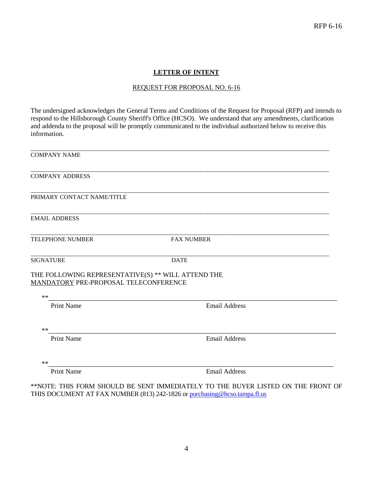#### **LETTER OF INTENT**

#### REQUEST FOR PROPOSAL NO. 6-16

The undersigned acknowledges the General Terms and Conditions of the Request for Proposal (RFP) and intends to respond to the Hillsborough County Sheriff's Office (HCSO). We understand that any amendments, clarification and addenda to the proposal will be promptly communicated to the individual authorized below to receive this information.

| <b>COMPANY NAME</b>                                                    |                                                                                                                 |
|------------------------------------------------------------------------|-----------------------------------------------------------------------------------------------------------------|
| <b>COMPANY ADDRESS</b>                                                 |                                                                                                                 |
| PRIMARY CONTACT NAME/TITLE                                             |                                                                                                                 |
| <b>EMAIL ADDRESS</b>                                                   |                                                                                                                 |
| <b>TELEPHONE NUMBER</b>                                                | <b>FAX NUMBER</b>                                                                                               |
| <b>SIGNATURE</b><br>THE FOLLOWING REPRESENTATIVE(S) ** WILL ATTEND THE | <b>DATE</b>                                                                                                     |
| MANDATORY PRE-PROPOSAL TELECONFERENCE<br>$**$                          | the contract of the contract of the contract of the contract of the contract of the contract of the contract of |
| <b>Print Name</b>                                                      | <b>Email Address</b>                                                                                            |
| $**$                                                                   |                                                                                                                 |
| <b>Print Name</b>                                                      | <b>Email Address</b>                                                                                            |
| $**$                                                                   |                                                                                                                 |
| <b>Print Name</b>                                                      | <b>Email Address</b>                                                                                            |

\*\*NOTE: THIS FORM SHOULD BE SENT IMMEDIATELY TO THE BUYER LISTED ON THE FRONT OF THIS DOCUMENT AT FAX NUMBER (813) 242-1826 or<purchasing@hcso.tampa.fl.us>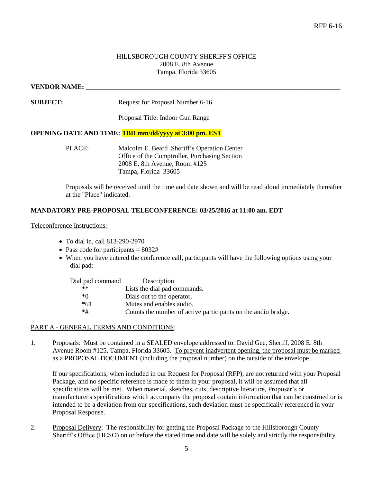#### HILLSBOROUGH COUNTY SHERIFF'S OFFICE 2008 E. 8th Avenue Tampa, Florida 33605

#### VENDOR NAME:

**SUBJECT:** Request for Proposal Number 6-16

Proposal Title: Indoor Gun Range

#### **OPENING DATE AND TIME: TBD mm/dd/yyyy at 3:00 pm. EST**

PLACE: Malcolm E. Beard Sheriff's Operation Center Office of the Comptroller, Purchasing Section 2008 E. 8th Avenue, Room #125 Tampa, Florida 33605

Proposals will be received until the time and date shown and will be read aloud immediately thereafter at the "Place" indicated.

#### **MANDATORY PRE-PROPOSAL TELECONFERENCE: 03/25/2016 at 11:00 am. EDT**

Teleconference Instructions:

- To dial in, call 813-290-2970
- Pass code for participants  $= 8032#$
- When you have entered the conference call, participants will have the following options using your dial pad:

| Dial pad command | Description                                                   |
|------------------|---------------------------------------------------------------|
| $**$             | Lists the dial pad commands.                                  |
| *0               | Dials out to the operator.                                    |
| $*61$            | Mutes and enables audio.                                      |
| $*#$             | Counts the number of active participants on the audio bridge. |

#### PART A - GENERAL TERMS AND CONDITIONS:

1. Proposals: Must be contained in a SEALED envelope addressed to: David Gee, Sheriff, 2008 E. 8th Avenue Room #125, Tampa, Florida 33605. To prevent inadvertent opening, the proposal must be marked as a PROPOSAL DOCUMENT (including the proposal number) on the outside of the envelope.

If our specifications, when included in our Request for Proposal (RFP), are not returned with your Proposal Package, and no specific reference is made to them in your proposal, it will be assumed that all specifications will be met. When material, sketches, cuts, descriptive literature, Proposer's or manufacturer's specifications which accompany the proposal contain information that can be construed or is intended to be a deviation from our specifications, such deviation must be specifically referenced in your Proposal Response.

2. Proposal Delivery: The responsibility for getting the Proposal Package to the Hillsborough County Sheriff's Office (HCSO) on or before the stated time and date will be solely and strictly the responsibility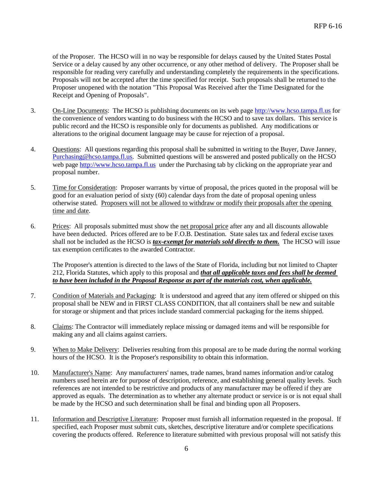of the Proposer. The HCSO will in no way be responsible for delays caused by the United States Postal Service or a delay caused by any other occurrence, or any other method of delivery. The Proposer shall be responsible for reading very carefully and understanding completely the requirements in the specifications. Proposals will not be accepted after the time specified for receipt. Such proposals shall be returned to the Proposer unopened with the notation "This Proposal Was Received after the Time Designated for the Receipt and Opening of Proposals".

- 3. On-Line Documents: The HCSO is publishing documents on its web page http://www.hcso.tampa.fl.us for the convenience of vendors wanting to do business with the HCSO and to save tax dollars. This service is public record and the HCSO is responsible only for documents as published. Any modifications or alterations to the original document language may be cause for rejection of a proposal.
- 4. Questions: All questions regarding this proposal shall be submitted in writing to the Buyer, Dave Janney, [Purchasing@hcso.tampa.fl.us.](mailto:Purchasing@hcso.tampa.fl.us) Submitted questions will be answered and posted publically on the HCSO web page [http://www.hcso.tampa.fl.us](http://www.hcso.tampa.fl.us/) under the Purchasing tab by clicking on the appropriate year and proposal number.
- 5. Time for Consideration: Proposer warrants by virtue of proposal, the prices quoted in the proposal will be good for an evaluation period of sixty (60) calendar days from the date of proposal opening unless otherwise stated. Proposers will not be allowed to withdraw or modify their proposals after the opening time and date.
- 6. Prices: All proposals submitted must show the net proposal price after any and all discounts allowable have been deducted. Prices offered are to be F.O.B. Destination. State sales tax and federal excise taxes shall not be included as the HCSO is *tax-exempt for materials sold directly to them.* The HCSO will issue tax exemption certificates to the awarded Contractor.

The Proposer's attention is directed to the laws of the State of Florida, including but not limited to Chapter 212, Florida Statutes, which apply to this proposal and *that all applicable taxes and fees shall be deemed to have been included in the Proposal Response as part of the materials cost, when applicable.*

- 7. Condition of Materials and Packaging: It is understood and agreed that any item offered or shipped on this proposal shall be NEW and in FIRST CLASS CONDITION, that all containers shall be new and suitable for storage or shipment and that prices include standard commercial packaging for the items shipped.
- 8. Claims: The Contractor will immediately replace missing or damaged items and will be responsible for making any and all claims against carriers.
- 9. When to Make Delivery: Deliveries resulting from this proposal are to be made during the normal working hours of the HCSO. It is the Proposer's responsibility to obtain this information.
- 10. Manufacturer's Name: Any manufacturers' names, trade names, brand names information and/or catalog numbers used herein are for purpose of description, reference, and establishing general quality levels. Such references are not intended to be restrictive and products of any manufacturer may be offered if they are approved as equals. The determination as to whether any alternate product or service is or is not equal shall be made by the HCSO and such determination shall be final and binding upon all Proposers.
- 11. Information and Descriptive Literature: Proposer must furnish all information requested in the proposal. If specified, each Proposer must submit cuts, sketches, descriptive literature and/or complete specifications covering the products offered. Reference to literature submitted with previous proposal will not satisfy this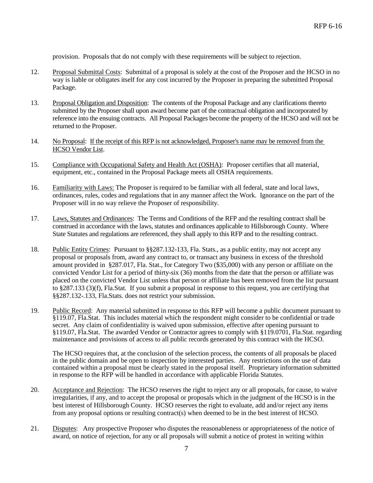provision. Proposals that do not comply with these requirements will be subject to rejection.

- 12. Proposal Submittal Costs: Submittal of a proposal is solely at the cost of the Proposer and the HCSO in no way is liable or obligates itself for any cost incurred by the Proposer in preparing the submitted Proposal Package.
- 13. Proposal Obligation and Disposition: The contents of the Proposal Package and any clarifications thereto submitted by the Proposer shall upon award become part of the contractual obligation and incorporated by reference into the ensuing contracts. All Proposal Packages become the property of the HCSO and will not be returned to the Proposer.
- 14. No Proposal: If the receipt of this RFP is not acknowledged, Proposer's name may be removed from the HCSO Vendor List.
- 15. Compliance with Occupational Safety and Health Act (OSHA): Proposer certifies that all material, equipment, etc., contained in the Proposal Package meets all OSHA requirements.
- 16. Familiarity with Laws: The Proposer is required to be familiar with all federal, state and local laws, ordinances, rules, codes and regulations that in any manner affect the Work. Ignorance on the part of the Proposer will in no way relieve the Proposer of responsibility.
- 17. Laws, Statutes and Ordinances: The Terms and Conditions of the RFP and the resulting contract shall be construed in accordance with the laws, statutes and ordinances applicable to Hillsborough County. Where State Statutes and regulations are referenced, they shall apply to this RFP and to the resulting contract.
- 18. Public Entity Crimes: Pursuant to §§287.132-133, Fla. Stats., as a public entity, may not accept any proposal or proposals from, award any contract to, or transact any business in excess of the threshold amount provided in §287.017, Fla. Stat., for Category Two (\$35,000) with any person or affiliate on the convicted Vendor List for a period of thirty-six (36) months from the date that the person or affiliate was placed on the convicted Vendor List unless that person or affiliate has been removed from the list pursuant to §287.133 (3)(f), Fla.Stat. If you submit a proposal in response to this request, you are certifying that §§287.132-.133, Fla.Stats. does not restrict your submission.
- 19. Public Record: Any material submitted in response to this RFP will become a public document pursuant to §119.07, Fla.Stat. This includes material which the respondent might consider to be confidential or trade secret. Any claim of confidentiality is waived upon submission, effective after opening pursuant to §119.07, Fla.Stat. The awarded Vendor or Contractor agrees to comply with §119.0701, Fla.Stat. regarding maintenance and provisions of access to all public records generated by this contract with the HCSO.

The HCSO requires that, at the conclusion of the selection process, the contents of all proposals be placed in the public domain and be open to inspection by interested parties. Any restrictions on the use of data contained within a proposal must be clearly stated in the proposal itself. Proprietary information submitted in response to the RFP will be handled in accordance with applicable Florida Statutes.

- 20. Acceptance and Rejection: The HCSO reserves the right to reject any or all proposals, for cause, to waive irregularities, if any, and to accept the proposal or proposals which in the judgment of the HCSO is in the best interest of Hillsborough County. HCSO reserves the right to evaluate, add and/or reject any items from any proposal options or resulting contract(s) when deemed to be in the best interest of HCSO.
- 21. Disputes: Any prospective Proposer who disputes the reasonableness or appropriateness of the notice of award, on notice of rejection, for any or all proposals will submit a notice of protest in writing within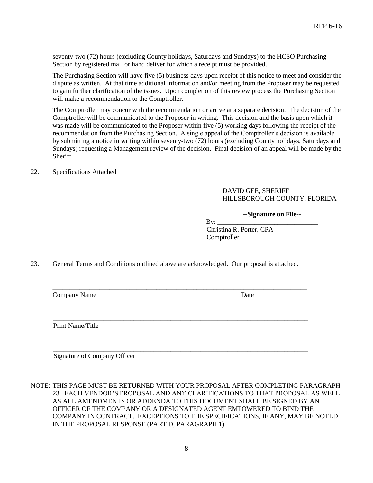seventy-two (72) hours (excluding County holidays, Saturdays and Sundays) to the HCSO Purchasing Section by registered mail or hand deliver for which a receipt must be provided.

The Purchasing Section will have five (5) business days upon receipt of this notice to meet and consider the dispute as written. At that time additional information and/or meeting from the Proposer may be requested to gain further clarification of the issues. Upon completion of this review process the Purchasing Section will make a recommendation to the Comptroller.

The Comptroller may concur with the recommendation or arrive at a separate decision. The decision of the Comptroller will be communicated to the Proposer in writing. This decision and the basis upon which it was made will be communicated to the Proposer within five (5) working days following the receipt of the recommendation from the Purchasing Section. A single appeal of the Comptroller's decision is available by submitting a notice in writing within seventy-two (72) hours (excluding County holidays, Saturdays and Sundays) requesting a Management review of the decision. Final decision of an appeal will be made by the Sheriff.

22. Specifications Attached

#### DAVID GEE, SHERIFF HILLSBOROUGH COUNTY, FLORIDA

#### **--Signature on File--**

 By: \_\_\_\_\_\_\_\_\_\_\_\_\_\_\_\_\_\_\_\_\_\_\_\_\_\_\_\_\_\_ Christina R. Porter, CPA **Comptroller** 

23. General Terms and Conditions outlined above are acknowledged. Our proposal is attached.

\_\_\_\_\_\_\_\_\_\_\_\_\_\_\_\_\_\_\_\_\_\_\_\_\_\_\_\_\_\_\_\_\_\_\_\_\_\_\_\_\_\_\_\_\_\_\_\_\_\_\_\_\_\_\_\_\_\_\_\_\_\_\_\_\_\_\_\_\_\_\_\_\_\_\_\_

\_\_\_\_\_\_\_\_\_\_\_\_\_\_\_\_\_\_\_\_\_\_\_\_\_\_\_\_\_\_\_\_\_\_\_\_\_\_\_\_\_\_\_\_\_\_\_\_\_\_\_\_\_\_\_\_\_\_\_\_\_\_\_\_\_\_\_\_\_\_\_\_\_\_\_\_

Company Name Date

Print Name/Title

Signature of Company Officer

NOTE: THIS PAGE MUST BE RETURNED WITH YOUR PROPOSAL AFTER COMPLETING PARAGRAPH 23. EACH VENDOR'S PROPOSAL AND ANY CLARIFICATIONS TO THAT PROPOSAL AS WELL AS ALL AMENDMENTS OR ADDENDA TO THIS DOCUMENT SHALL BE SIGNED BY AN OFFICER OF THE COMPANY OR A DESIGNATED AGENT EMPOWERED TO BIND THE COMPANY IN CONTRACT. EXCEPTIONS TO THE SPECIFICATIONS, IF ANY, MAY BE NOTED IN THE PROPOSAL RESPONSE (PART D, PARAGRAPH 1).

\_\_\_\_\_\_\_\_\_\_\_\_\_\_\_\_\_\_\_\_\_\_\_\_\_\_\_\_\_\_\_\_\_\_\_\_\_\_\_\_\_\_\_\_\_\_\_\_\_\_\_\_\_\_\_\_\_\_\_\_\_\_\_\_\_\_\_\_\_\_\_\_\_\_\_\_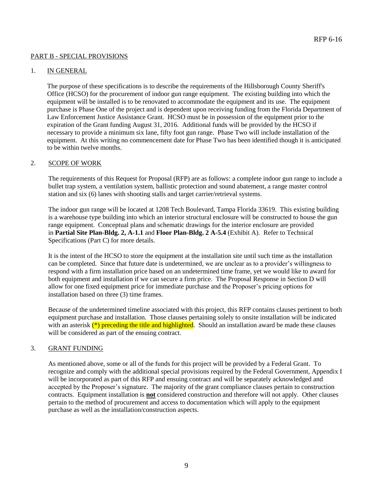#### PART B - SPECIAL PROVISIONS

#### 1. IN GENERAL

The purpose of these specifications is to describe the requirements of the Hillsborough County Sheriff's Office (HCSO) for the procurement of indoor gun range equipment. The existing building into which the equipment will be installed is to be renovated to accommodate the equipment and its use. The equipment purchase is Phase One of the project and is dependent upon receiving funding from the Florida Department of Law Enforcement Justice Assistance Grant. HCSO must be in possession of the equipment prior to the expiration of the Grant funding August 31, 2016. Additional funds will be provided by the HCSO if necessary to provide a minimum six lane, fifty foot gun range. Phase Two will include installation of the equipment. At this writing no commencement date for Phase Two has been identified though it is anticipated to be within twelve months.

#### 2. SCOPE OF WORK

The requirements of this Request for Proposal (RFP) are as follows: a complete indoor gun range to include a bullet trap system, a ventilation system, ballistic protection and sound abatement, a range master control station and six (6) lanes with shooting stalls and target carrier/retrieval systems.

The indoor gun range will be located at 1208 Tech Boulevard, Tampa Florida 33619. This existing building is a warehouse type building into which an interior structural enclosure will be constructed to house the gun range equipment. Conceptual plans and schematic drawings for the interior enclosure are provided in **Partial Site Plan-Bldg. 2, A-1.1** and **Floor Plan-Bldg. 2 A-5.4** (Exhibit A). Refer to Technical Specifications (Part C) for more details.

It is the intent of the HCSO to store the equipment at the installation site until such time as the installation can be completed. Since that future date is undetermined, we are unclear as to a provider's willingness to respond with a firm installation price based on an undetermined time frame, yet we would like to award for both equipment and installation if we can secure a firm price. The Proposal Response in Section D will allow for one fixed equipment price for immediate purchase and the Proposer's pricing options for installation based on three (3) time frames.

Because of the undetermined timeline associated with this project, this RFP contains clauses pertinent to both equipment purchase and installation. Those clauses pertaining solely to onsite installation will be indicated with an asterisk  $(*)$  preceding the title and highlighted. Should an installation award be made these clauses will be considered as part of the ensuing contract.

#### 3. GRANT FUNDING

As mentioned above, some or all of the funds for this project will be provided by a Federal Grant. To recognize and comply with the additional special provisions required by the Federal Government, Appendix I will be incorporated as part of this RFP and ensuing contract and will be separately acknowledged and accepted by the Proposer's signature. The majority of the grant compliance clauses pertain to construction contracts. Equipment installation is **not** considered construction and therefore will not apply. Other clauses pertain to the method of procurement and access to documentation which will apply to the equipment purchase as well as the installation/construction aspects.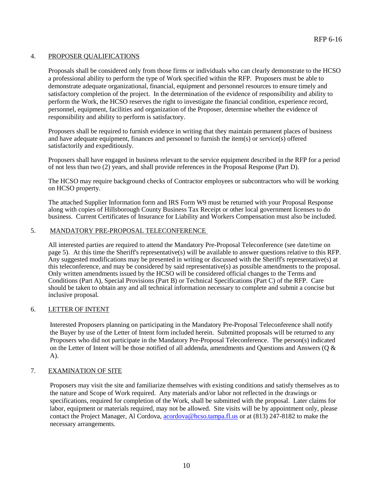#### 4. PROPOSER QUALIFICATIONS

Proposals shall be considered only from those firms or individuals who can clearly demonstrate to the HCSO a professional ability to perform the type of Work specified within the RFP. Proposers must be able to demonstrate adequate organizational, financial, equipment and personnel resources to ensure timely and satisfactory completion of the project. In the determination of the evidence of responsibility and ability to perform the Work, the HCSO reserves the right to investigate the financial condition, experience record, personnel, equipment, facilities and organization of the Proposer, determine whether the evidence of responsibility and ability to perform is satisfactory.

Proposers shall be required to furnish evidence in writing that they maintain permanent places of business and have adequate equipment, finances and personnel to furnish the item(s) or service(s) offered satisfactorily and expeditiously.

Proposers shall have engaged in business relevant to the service equipment described in the RFP for a period of not less than two (2) years, and shall provide references in the Proposal Response (Part D).

The HCSO may require background checks of Contractor employees or subcontractors who will be working on HCSO property.

The attached Supplier Information form and IRS Form W9 must be returned with your Proposal Response along with copies of Hillsborough County Business Tax Receipt or other local government licenses to do business. Current Certificates of Insurance for Liability and Workers Compensation must also be included.

#### 5. MANDATORY PRE-PROPOSAL TELECONFERENCE

All interested parties are required to attend the Mandatory Pre-Proposal Teleconference (see date/time on page 5). At this time the Sheriff's representative(s) will be available to answer questions relative to this RFP. Any suggested modifications may be presented in writing or discussed with the Sheriff's representative(s) at this teleconference, and may be considered by said representative(s) as possible amendments to the proposal. Only written amendments issued by the HCSO will be considered official changes to the Terms and Conditions (Part A), Special Provisions (Part B) or Technical Specifications (Part C) of the RFP. Care should be taken to obtain any and all technical information necessary to complete and submit a concise but inclusive proposal.

#### 6. LETTER OF INTENT

Interested Proposers planning on participating in the Mandatory Pre-Proposal Teleconference shall notify the Buyer by use of the Letter of Intent form included herein. Submitted proposals will be returned to any Proposers who did not participate in the Mandatory Pre-Proposal Teleconference. The person(s) indicated on the Letter of Intent will be those notified of all addenda, amendments and Questions and Answers (Q & A).

#### 7. EXAMINATION OF SITE

Proposers may visit the site and familiarize themselves with existing conditions and satisfy themselves as to the nature and Scope of Work required. Any materials and/or labor not reflected in the drawings or specifications, required for completion of the Work, shall be submitted with the proposal. Later claims for labor, equipment or materials required, may not be allowed. Site visits will be by appointment only, please contact the Project Manager, Al Cordova, [acordova@hcso.tampa.fl.us](mailto:acordova@hcso.tampa.fl.us) or at (813) 247-8182 to make the necessary arrangements.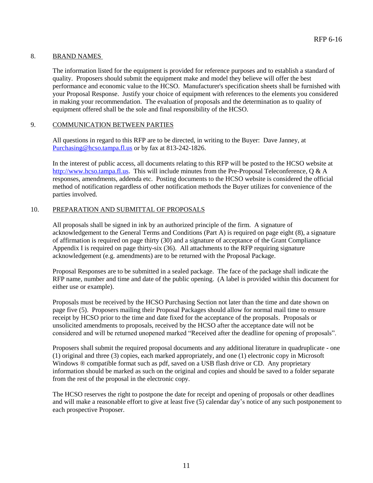#### 8. BRAND NAMES

The information listed for the equipment is provided for reference purposes and to establish a standard of quality. Proposers should submit the equipment make and model they believe will offer the best performance and economic value to the HCSO. Manufacturer's specification sheets shall be furnished with your Proposal Response. Justify your choice of equipment with references to the elements you considered in making your recommendation. The evaluation of proposals and the determination as to quality of equipment offered shall be the sole and final responsibility of the HCSO.

#### 9. COMMUNICATION BETWEEN PARTIES

All questions in regard to this RFP are to be directed, in writing to the Buyer: Dave Janney, at [Purchasing@hcso.tampa.fl.us](mailto:Purchasing@hcso.tampa.fl.us) or by fax at 813-242-1826.

In the interest of public access, all documents relating to this RFP will be posted to the HCSO website at [http://www.hcso.tampa.fl.us.](http://www.hcso.tampa.fl.us/) This will include minutes from the Pre-Proposal Teleconference, Q & A responses, amendments, addenda etc. Posting documents to the HCSO website is considered the official method of notification regardless of other notification methods the Buyer utilizes for convenience of the parties involved.

#### 10. PREPARATION AND SUBMITTAL OF PROPOSALS

All proposals shall be signed in ink by an authorized principle of the firm. A signature of acknowledgement to the General Terms and Conditions (Part A) is required on page eight (8), a signature of affirmation is required on page thirty (30) and a signature of acceptance of the Grant Compliance Appendix I is required on page thirty-six (36). All attachments to the RFP requiring signature acknowledgement (e.g. amendments) are to be returned with the Proposal Package.

Proposal Responses are to be submitted in a sealed package. The face of the package shall indicate the RFP name, number and time and date of the public opening. (A label is provided within this document for either use or example).

Proposals must be received by the HCSO Purchasing Section not later than the time and date shown on page five (5). Proposers mailing their Proposal Packages should allow for normal mail time to ensure receipt by HCSO prior to the time and date fixed for the acceptance of the proposals. Proposals or unsolicited amendments to proposals, received by the HCSO after the acceptance date will not be considered and will be returned unopened marked "Received after the deadline for opening of proposals".

Proposers shall submit the required proposal documents and any additional literature in quadruplicate - one (1) original and three (3) copies, each marked appropriately, and one (1) electronic copy in Microsoft Windows  $\circledR$  compatible format such as pdf, saved on a USB flash drive or CD. Any proprietary information should be marked as such on the original and copies and should be saved to a folder separate from the rest of the proposal in the electronic copy.

The HCSO reserves the right to postpone the date for receipt and opening of proposals or other deadlines and will make a reasonable effort to give at least five (5) calendar day's notice of any such postponement to each prospective Proposer.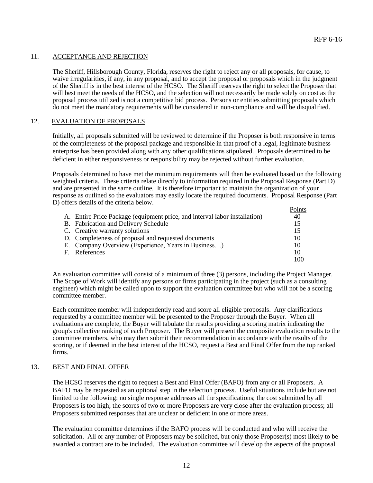#### 11. ACCEPTANCE AND REJECTION

The Sheriff, Hillsborough County, Florida, reserves the right to reject any or all proposals, for cause, to waive irregularities, if any, in any proposal, and to accept the proposal or proposals which in the judgment of the Sheriff is in the best interest of the HCSO. The Sheriff reserves the right to select the Proposer that will best meet the needs of the HCSO, and the selection will not necessarily be made solely on cost as the proposal process utilized is not a competitive bid process. Persons or entities submitting proposals which do not meet the mandatory requirements will be considered in non-compliance and will be disqualified.

#### 12. EVALUATION OF PROPOSALS

Initially, all proposals submitted will be reviewed to determine if the Proposer is both responsive in terms of the completeness of the proposal package and responsible in that proof of a legal, legitimate business enterprise has been provided along with any other qualifications stipulated. Proposals determined to be deficient in either responsiveness or responsibility may be rejected without further evaluation.

Proposals determined to have met the minimum requirements will then be evaluated based on the following weighted criteria. These criteria relate directly to information required in the Proposal Response (Part D) and are presented in the same outline. It is therefore important to maintain the organization of your response as outlined so the evaluators may easily locate the required documents. Proposal Response (Part D) offers details of the criteria below.

|                                                                            | Points |
|----------------------------------------------------------------------------|--------|
| A. Entire Price Package (equipment price, and interval labor installation) | 40     |
| B. Fabrication and Delivery Schedule                                       | 15     |
| C. Creative warranty solutions                                             | 15     |
| D. Completeness of proposal and requested documents                        | 10     |
| E. Company Overview (Experience, Years in Business)                        | 10     |
| F. References                                                              | 10     |
|                                                                            |        |

An evaluation committee will consist of a minimum of three (3) persons, including the Project Manager. The Scope of Work will identify any persons or firms participating in the project (such as a consulting engineer) which might be called upon to support the evaluation committee but who will not be a scoring committee member.

Each committee member will independently read and score all eligible proposals. Any clarifications requested by a committee member will be presented to the Proposer through the Buyer. When all evaluations are complete, the Buyer will tabulate the results providing a scoring matrix indicating the group's collective ranking of each Proposer. The Buyer will present the composite evaluation results to the committee members, who may then submit their recommendation in accordance with the results of the scoring, or if deemed in the best interest of the HCSO, request a Best and Final Offer from the top ranked firms.

#### 13. BEST AND FINAL OFFER

The HCSO reserves the right to request a Best and Final Offer (BAFO) from any or all Proposers. A BAFO may be requested as an optional step in the selection process. Useful situations include but are not limited to the following: no single response addresses all the specifications; the cost submitted by all Proposers is too high; the scores of two or more Proposers are very close after the evaluation process; all Proposers submitted responses that are unclear or deficient in one or more areas.

The evaluation committee determines if the BAFO process will be conducted and who will receive the solicitation. All or any number of Proposers may be solicited, but only those Proposer(s) most likely to be awarded a contract are to be included. The evaluation committee will develop the aspects of the proposal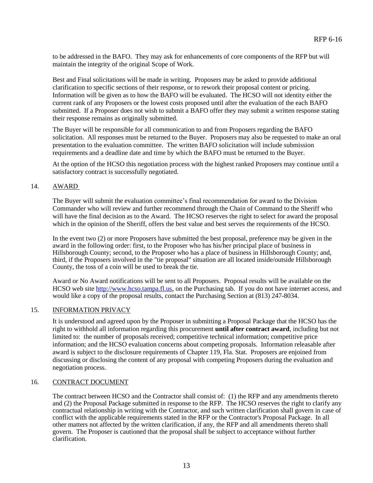to be addressed in the BAFO. They may ask for enhancements of core components of the RFP but will maintain the integrity of the original Scope of Work.

Best and Final solicitations will be made in writing. Proposers may be asked to provide additional clarification to specific sections of their response, or to rework their proposal content or pricing. Information will be given as to how the BAFO will be evaluated. The HCSO will not identity either the current rank of any Proposers or the lowest costs proposed until after the evaluation of the each BAFO submitted. If a Proposer does not wish to submit a BAFO offer they may submit a written response stating their response remains as originally submitted.

The Buyer will be responsible for all communication to and from Proposers regarding the BAFO solicitation. All responses must be returned to the Buyer. Proposers may also be requested to make an oral presentation to the evaluation committee. The written BAFO solicitation will include submission requirements and a deadline date and time by which the BAFO must be returned to the Buyer.

At the option of the HCSO this negotiation process with the highest ranked Proposers may continue until a satisfactory contract is successfully negotiated.

#### 14. AWARD

The Buyer will submit the evaluation committee's final recommendation for award to the Division Commander who will review and further recommend through the Chain of Command to the Sheriff who will have the final decision as to the Award. The HCSO reserves the right to select for award the proposal which in the opinion of the Sheriff, offers the best value and best serves the requirements of the HCSO.

In the event two (2) or more Proposers have submitted the best proposal, preference may be given in the award in the following order: first, to the Proposer who has his/her principal place of business in Hillsborough County; second, to the Proposer who has a place of business in Hillsborough County; and, third, if the Proposers involved in the "tie proposal" situation are all located inside/outside Hillsborough County, the toss of a coin will be used to break the tie.

Award or No Award notifications will be sent to all Proposers. Proposal results will be available on the HCSO web site [http://www.hcso.tampa.fl.us](http://www.hcso.tampa.fl.us/), on the Purchasing tab. If you do not have internet access, and would like a copy of the proposal results, contact the Purchasing Section at (813) 247-8034.

#### 15. INFORMATION PRIVACY

It is understood and agreed upon by the Proposer in submitting a Proposal Package that the HCSO has the right to withhold all information regarding this procurement **until after contract award**, including but not limited to: the number of proposals received; competitive technical information; competitive price information; and the HCSO evaluation concerns about competing proposals. Information releasable after award is subject to the disclosure requirements of Chapter 119, Fla. Stat. Proposers are enjoined from discussing or disclosing the content of any proposal with competing Proposers during the evaluation and negotiation process.

#### 16. CONTRACT DOCUMENT

The contract between HCSO and the Contractor shall consist of: (1) the RFP and any amendments thereto and (2) the Proposal Package submitted in response to the RFP. The HCSO reserves the right to clarify any contractual relationship in writing with the Contractor, and such written clarification shall govern in case of conflict with the applicable requirements stated in the RFP or the Contractor's Proposal Package. In all other matters not affected by the written clarification, if any, the RFP and all amendments thereto shall govern. The Proposer is cautioned that the proposal shall be subject to acceptance without further clarification.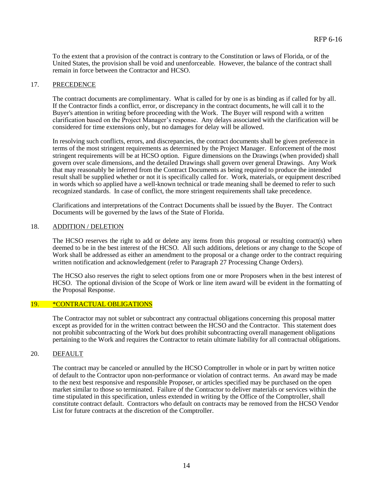To the extent that a provision of the contract is contrary to the Constitution or laws of Florida, or of the United States, the provision shall be void and unenforceable. However, the balance of the contract shall remain in force between the Contractor and HCSO.

#### 17. PRECEDENCE

The contract documents are complimentary. What is called for by one is as binding as if called for by all. If the Contractor finds a conflict, error, or discrepancy in the contract documents, he will call it to the Buyer's attention in writing before proceeding with the Work. The Buyer will respond with a written clarification based on the Project Manager's response. Any delays associated with the clarification will be considered for time extensions only, but no damages for delay will be allowed.

In resolving such conflicts, errors, and discrepancies, the contract documents shall be given preference in terms of the most stringent requirements as determined by the Project Manager. Enforcement of the most stringent requirements will be at HCSO option. Figure dimensions on the Drawings (when provided) shall govern over scale dimensions, and the detailed Drawings shall govern over general Drawings. Any Work that may reasonably be inferred from the Contract Documents as being required to produce the intended result shall be supplied whether or not it is specifically called for. Work, materials, or equipment described in words which so applied have a well-known technical or trade meaning shall be deemed to refer to such recognized standards. In case of conflict, the more stringent requirements shall take precedence.

Clarifications and interpretations of the Contract Documents shall be issued by the Buyer. The Contract Documents will be governed by the laws of the State of Florida.

#### 18. ADDITION / DELETION

The HCSO reserves the right to add or delete any items from this proposal or resulting contract(s) when deemed to be in the best interest of the HCSO. All such additions, deletions or any change to the Scope of Work shall be addressed as either an amendment to the proposal or a change order to the contract requiring written notification and acknowledgement (refer to Paragraph 27 Processing Change Orders).

The HCSO also reserves the right to select options from one or more Proposers when in the best interest of HCSO. The optional division of the Scope of Work or line item award will be evident in the formatting of the Proposal Response.

#### 19. \*CONTRACTUAL OBLIGATIONS

The Contractor may not sublet or subcontract any contractual obligations concerning this proposal matter except as provided for in the written contract between the HCSO and the Contractor. This statement does not prohibit subcontracting of the Work but does prohibit subcontracting overall management obligations pertaining to the Work and requires the Contractor to retain ultimate liability for all contractual obligations.

#### 20. DEFAULT

The contract may be canceled or annulled by the HCSO Comptroller in whole or in part by written notice of default to the Contractor upon non-performance or violation of contract terms. An award may be made to the next best responsive and responsible Proposer, or articles specified may be purchased on the open market similar to those so terminated. Failure of the Contractor to deliver materials or services within the time stipulated in this specification, unless extended in writing by the Office of the Comptroller, shall constitute contract default. Contractors who default on contracts may be removed from the HCSO Vendor List for future contracts at the discretion of the Comptroller.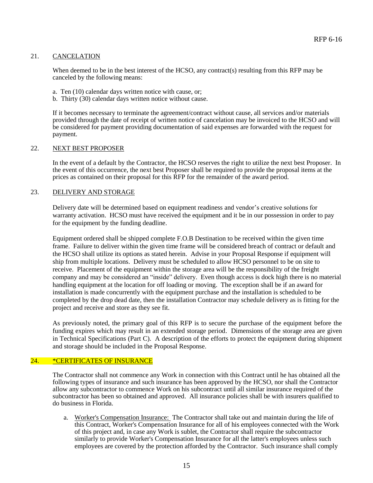#### 21. CANCELATION

When deemed to be in the best interest of the HCSO, any contract(s) resulting from this RFP may be canceled by the following means:

- a. Ten (10) calendar days written notice with cause, or;
- b. Thirty (30) calendar days written notice without cause.

If it becomes necessary to terminate the agreement/contract without cause, all services and/or materials provided through the date of receipt of written notice of cancelation may be invoiced to the HCSO and will be considered for payment providing documentation of said expenses are forwarded with the request for payment.

#### 22. NEXT BEST PROPOSER

In the event of a default by the Contractor, the HCSO reserves the right to utilize the next best Proposer. In the event of this occurrence, the next best Proposer shall be required to provide the proposal items at the prices as contained on their proposal for this RFP for the remainder of the award period.

#### 23. DELIVERY AND STORAGE

Delivery date will be determined based on equipment readiness and vendor's creative solutions for warranty activation. HCSO must have received the equipment and it be in our possession in order to pay for the equipment by the funding deadline.

Equipment ordered shall be shipped complete F.O.B Destination to be received within the given time frame. Failure to deliver within the given time frame will be considered breach of contract or default and the HCSO shall utilize its options as stated herein. Advise in your Proposal Response if equipment will ship from multiple locations. Delivery must be scheduled to allow HCSO personnel to be on site to receive. Placement of the equipment within the storage area will be the responsibility of the freight company and may be considered an "inside" delivery. Even though access is dock high there is no material handling equipment at the location for off loading or moving. The exception shall be if an award for installation is made concurrently with the equipment purchase and the installation is scheduled to be completed by the drop dead date, then the installation Contractor may schedule delivery as is fitting for the project and receive and store as they see fit.

As previously noted, the primary goal of this RFP is to secure the purchase of the equipment before the funding expires which may result in an extended storage period. Dimensions of the storage area are given in Technical Specifications (Part C). A description of the efforts to protect the equipment during shipment and storage should be included in the Proposal Response.

#### 24. \*CERTIFICATES OF INSURANCE

The Contractor shall not commence any Work in connection with this Contract until he has obtained all the following types of insurance and such insurance has been approved by the HCSO, nor shall the Contractor allow any subcontractor to commence Work on his subcontract until all similar insurance required of the subcontractor has been so obtained and approved. All insurance policies shall be with insurers qualified to do business in Florida.

a. Worker's Compensation Insurance: The Contractor shall take out and maintain during the life of this Contract, Worker's Compensation Insurance for all of his employees connected with the Work of this project and, in case any Work is sublet, the Contractor shall require the subcontractor similarly to provide Worker's Compensation Insurance for all the latter's employees unless such employees are covered by the protection afforded by the Contractor. Such insurance shall comply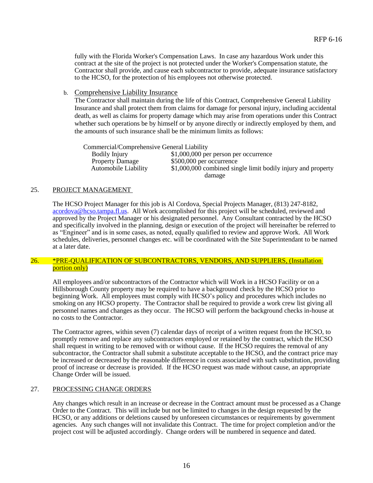fully with the Florida Worker's Compensation Laws. In case any hazardous Work under this contract at the site of the project is not protected under the Worker's Compensation statute, the Contractor shall provide, and cause each subcontractor to provide, adequate insurance satisfactory to the HCSO, for the protection of his employees not otherwise protected.

b. Comprehensive Liability Insurance

The Contractor shall maintain during the life of this Contract, Comprehensive General Liability Insurance and shall protect them from claims for damage for personal injury, including accidental death, as well as claims for property damage which may arise from operations under this Contract whether such operations be by himself or by anyone directly or indirectly employed by them, and the amounts of such insurance shall be the minimum limits as follows:

Commercial/Comprehensive General Liability Bodily Injury  $$1,000,000$  per person per occurrence Property Damage \$500,000 per occurrence Automobile Liability \$1,000,000 combined single limit bodily injury and property damage

#### 25. PROJECT MANAGEMENT

The HCSO Project Manager for this job is Al Cordova, Special Projects Manager, (813) 247-8182, [acordova@hcso.tampa.fl.us.](acordova@hcso.tampa.fl.us) All Work accomplished for this project will be scheduled, reviewed and approved by the Project Manager or his designated personnel. Any Consultant contracted by the HCSO and specifically involved in the planning, design or execution of the project will hereinafter be referred to as "Engineer" and is in some cases, as noted, equally qualified to review and approve Work. All Work schedules, deliveries, personnel changes etc. will be coordinated with the Site Superintendant to be named at a later date.

#### 26. \*PRE-QUALIFICATION OF SUBCONTRACTORS, VENDORS, AND SUPPLIERS, (Installation portion only)

All employees and/or subcontractors of the Contractor which will Work in a HCSO Facility or on a Hillsborough County property may be required to have a background check by the HCSO prior to beginning Work. All employees must comply with HCSO's policy and procedures which includes no smoking on any HCSO property. The Contractor shall be required to provide a work crew list giving all personnel names and changes as they occur. The HCSO will perform the background checks in-house at no costs to the Contractor.

The Contractor agrees, within seven (7) calendar days of receipt of a written request from the HCSO, to promptly remove and replace any subcontractors employed or retained by the contract, which the HCSO shall request in writing to be removed with or without cause. If the HCSO requires the removal of any subcontractor, the Contractor shall submit a substitute acceptable to the HCSO, and the contract price may be increased or decreased by the reasonable difference in costs associated with such substitution, providing proof of increase or decrease is provided. If the HCSO request was made without cause, an appropriate Change Order will be issued.

#### 27. PROCESSING CHANGE ORDERS

Any changes which result in an increase or decrease in the Contract amount must be processed as a Change Order to the Contract. This will include but not be limited to changes in the design requested by the HCSO, or any additions or deletions caused by unforeseen circumstances or requirements by government agencies. Any such changes will not invalidate this Contract. The time for project completion and/or the project cost will be adjusted accordingly. Change orders will be numbered in sequence and dated.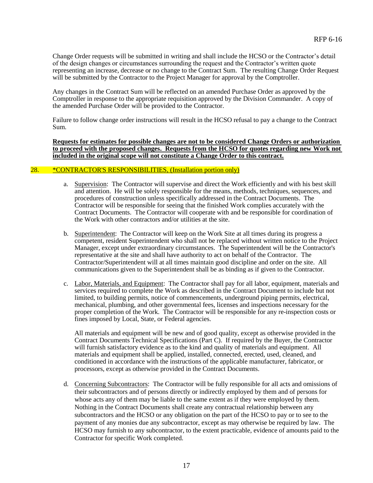Change Order requests will be submitted in writing and shall include the HCSO or the Contractor's detail of the design changes or circumstances surrounding the request and the Contractor's written quote representing an increase, decrease or no change to the Contract Sum. The resulting Change Order Request will be submitted by the Contractor to the Project Manager for approval by the Comptroller.

Any changes in the Contract Sum will be reflected on an amended Purchase Order as approved by the Comptroller in response to the appropriate requisition approved by the Division Commander. A copy of the amended Purchase Order will be provided to the Contractor.

Failure to follow change order instructions will result in the HCSO refusal to pay a change to the Contract Sum.

**Requests for estimates for possible changes are not to be considered Change Orders or authorization to proceed with the proposed changes. Requests from the HCSO for quotes regarding new Work not included in the original scope will not constitute a Change Order to this contract.**

#### 28. \*CONTRACTOR'S RESPONSIBILITIES, (Installation portion only)

- a. Supervision: The Contractor will supervise and direct the Work efficiently and with his best skill and attention. He will be solely responsible for the means, methods, techniques, sequences, and procedures of construction unless specifically addressed in the Contract Documents. The Contractor will be responsible for seeing that the finished Work complies accurately with the Contract Documents. The Contractor will cooperate with and be responsible for coordination of the Work with other contractors and/or utilities at the site.
- b. Superintendent: The Contractor will keep on the Work Site at all times during its progress a competent, resident Superintendent who shall not be replaced without written notice to the Project Manager, except under extraordinary circumstances. The Superintendent will be the Contractor's representative at the site and shall have authority to act on behalf of the Contractor. The Contractor/Superintendent will at all times maintain good discipline and order on the site. All communications given to the Superintendent shall be as binding as if given to the Contractor.
- c. Labor, Materials, and Equipment: The Contractor shall pay for all labor, equipment, materials and services required to complete the Work as described in the Contract Document to include but not limited, to building permits, notice of commencements, underground piping permits, electrical, mechanical, plumbing, and other governmental fees, licenses and inspections necessary for the proper completion of the Work. The Contractor will be responsible for any re-inspection costs or fines imposed by Local, State, or Federal agencies.

All materials and equipment will be new and of good quality, except as otherwise provided in the Contract Documents Technical Specifications (Part C). If required by the Buyer, the Contractor will furnish satisfactory evidence as to the kind and quality of materials and equipment. All materials and equipment shall be applied, installed, connected, erected, used, cleaned, and conditioned in accordance with the instructions of the applicable manufacturer, fabricator, or processors, except as otherwise provided in the Contract Documents.

d. Concerning Subcontractors: The Contractor will be fully responsible for all acts and omissions of their subcontractors and of persons directly or indirectly employed by them and of persons for whose acts any of them may be liable to the same extent as if they were employed by them. Nothing in the Contract Documents shall create any contractual relationship between any subcontractors and the HCSO or any obligation on the part of the HCSO to pay or to see to the payment of any monies due any subcontractor, except as may otherwise be required by law. The HCSO may furnish to any subcontractor, to the extent practicable, evidence of amounts paid to the Contractor for specific Work completed.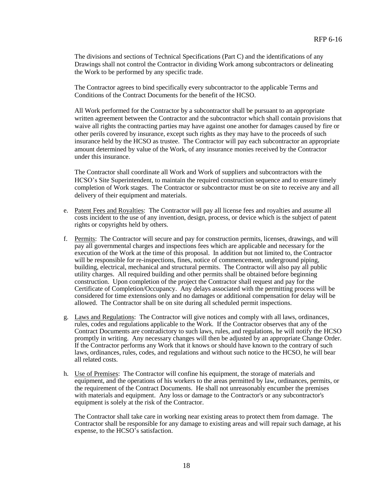The divisions and sections of Technical Specifications (Part C) and the identifications of any Drawings shall not control the Contractor in dividing Work among subcontractors or delineating the Work to be performed by any specific trade.

The Contractor agrees to bind specifically every subcontractor to the applicable Terms and Conditions of the Contract Documents for the benefit of the HCSO.

All Work performed for the Contractor by a subcontractor shall be pursuant to an appropriate written agreement between the Contractor and the subcontractor which shall contain provisions that waive all rights the contracting parties may have against one another for damages caused by fire or other perils covered by insurance, except such rights as they may have to the proceeds of such insurance held by the HCSO as trustee. The Contractor will pay each subcontractor an appropriate amount determined by value of the Work, of any insurance monies received by the Contractor under this insurance.

The Contractor shall coordinate all Work and Work of suppliers and subcontractors with the HCSO's Site Superintendent, to maintain the required construction sequence and to ensure timely completion of Work stages. The Contractor or subcontractor must be on site to receive any and all delivery of their equipment and materials.

- e. Patent Fees and Royalties: The Contractor will pay all license fees and royalties and assume all costs incident to the use of any invention, design, process, or device which is the subject of patent rights or copyrights held by others.
- f. Permits: The Contractor will secure and pay for construction permits, licenses, drawings, and will pay all governmental charges and inspections fees which are applicable and necessary for the execution of the Work at the time of this proposal. In addition but not limited to, the Contractor will be responsible for re-inspections, fines, notice of commencement, underground piping, building, electrical, mechanical and structural permits. The Contractor will also pay all public utility charges. All required building and other permits shall be obtained before beginning construction. Upon completion of the project the Contractor shall request and pay for the Certificate of Completion/Occupancy. Any delays associated with the permitting process will be considered for time extensions only and no damages or additional compensation for delay will be allowed. The Contractor shall be on site during all scheduled permit inspections.
- g. Laws and Regulations: The Contractor will give notices and comply with all laws, ordinances, rules, codes and regulations applicable to the Work. If the Contractor observes that any of the Contract Documents are contradictory to such laws, rules, and regulations, he will notify the HCSO promptly in writing. Any necessary changes will then be adjusted by an appropriate Change Order. If the Contractor performs any Work that it knows or should have known to the contrary of such laws, ordinances, rules, codes, and regulations and without such notice to the HCSO, he will bear all related costs.
- h. Use of Premises: The Contractor will confine his equipment, the storage of materials and equipment, and the operations of his workers to the areas permitted by law, ordinances, permits, or the requirement of the Contract Documents. He shall not unreasonably encumber the premises with materials and equipment. Any loss or damage to the Contractor's or any subcontractor's equipment is solely at the risk of the Contractor.

The Contractor shall take care in working near existing areas to protect them from damage. The Contractor shall be responsible for any damage to existing areas and will repair such damage, at his expense, to the HCSO's satisfaction.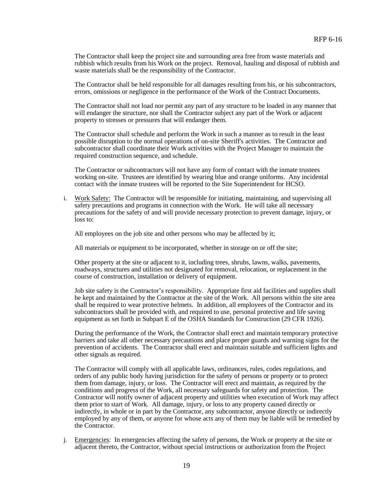The Contractor shall keep the project site and surrounding area free from waste materials and rubbish which results from his Work on the project. Removal, hauling and disposal of rubbish and waste materials shall be the responsibility of the Contractor.

The Contractor shall be held responsible for all damages resulting from his, or his subcontractors, errors, omissions or negligence in the performance of the Work of the Contract Documents.

The Contractor shall not load nor permit any part of any structure to be loaded in any manner that will endanger the structure, nor shall the Contractor subject any part of the Work or adjacent property to stresses or pressures that will endanger them.

The Contractor shall schedule and perform the Work in such a manner as to result in the least possible disruption to the normal operations of on-site Sheriff's activities. The Contractor and subcontractor shall coordinate their Work activities with the Project Manager to maintain the required construction sequence, and schedule.

The Contractor or subcontractors will not have any form of contact with the inmate trustees working on-site. Trustees are identified by wearing blue and orange uniforms. Any incidental contact with the inmate trustees will be reported to the Site Superintendent for HCSO.

i. Work Safety: The Contractor will be responsible for initiating, maintaining, and supervising all safety precautions and programs in connection with the Work. He will take all necessary precautions for the safety of and will provide necessary protection to prevent damage, injury, or loss to:

All employees on the job site and other persons who may be affected by it;

All materials or equipment to be incorporated, whether in storage on or off the site;

Other property at the site or adjacent to it, including trees, shrubs, lawns, walks, pavements, roadways, structures and utilities not designated for removal, relocation, or replacement in the course of construction, installation or delivery of equipment.

Job site safety is the Contractor's responsibility. Appropriate first aid facilities and supplies shall be kept and maintained by the Contractor at the site of the Work. All persons within the site area shall be required to wear protective helmets. In addition, all employees of the Contractor and its subcontractors shall be provided with, and required to use, personal protective and life saving equipment as set forth in Subpart E of the OSHA Standards for Construction (29 CFR 1926).

During the performance of the Work, the Contractor shall erect and maintain temporary protective barriers and take all other necessary precautions and place proper guards and warning signs for the prevention of accidents. The Contractor shall erect and maintain suitable and sufficient lights and other signals as required.

The Contractor will comply with all applicable laws, ordinances, rules, codes regulations, and orders of any public body having jurisdiction for the safety of persons or property or to protect them from damage, injury, or loss. The Contractor will erect and maintain, as required by the conditions and progress of the Work, all necessary safeguards for safety and protection. The Contractor will notify owner of adjacent property and utilities when execution of Work may affect them prior to start of Work. All damage, injury, or loss to any property caused directly or indirectly, in whole or in part by the Contractor, any subcontractor, anyone directly or indirectly employed by any of them, or anyone for whose acts any of them may be liable will be remedied by the Contractor.

j. Emergencies: In emergencies affecting the safety of persons, the Work or property at the site or adjacent thereto, the Contractor, without special instructions or authorization from the Project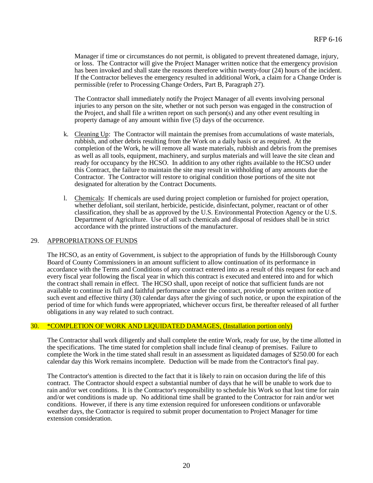Manager if time or circumstances do not permit, is obligated to prevent threatened damage, injury, or loss. The Contractor will give the Project Manager written notice that the emergency provision has been invoked and shall state the reasons therefore within twenty-four (24) hours of the incident. If the Contractor believes the emergency resulted in additional Work, a claim for a Change Order is permissible (refer to Processing Change Orders, Part B, Paragraph 27).

The Contractor shall immediately notify the Project Manager of all events involving personal injuries to any person on the site, whether or not such person was engaged in the construction of the Project, and shall file a written report on such person(s) and any other event resulting in property damage of any amount within five (5) days of the occurrence.

- k. Cleaning Up: The Contractor will maintain the premises from accumulations of waste materials, rubbish, and other debris resulting from the Work on a daily basis or as required. At the completion of the Work, he will remove all waste materials, rubbish and debris from the premises as well as all tools, equipment, machinery, and surplus materials and will leave the site clean and ready for occupancy by the HCSO. In addition to any other rights available to the HCSO under this Contract, the failure to maintain the site may result in withholding of any amounts due the Contractor. The Contractor will restore to original condition those portions of the site not designated for alteration by the Contract Documents.
- l. Chemicals: If chemicals are used during project completion or furnished for project operation, whether defoliant, soil sterilant, herbicide, pesticide, disinfectant, polymer, reactant or of other classification, they shall be as approved by the U.S. Environmental Protection Agency or the U.S. Department of Agriculture. Use of all such chemicals and disposal of residues shall be in strict accordance with the printed instructions of the manufacturer.

#### 29. APPROPRIATIONS OF FUNDS

The HCSO, as an entity of Government, is subject to the appropriation of funds by the Hillsborough County Board of County Commissioners in an amount sufficient to allow continuation of its performance in accordance with the Terms and Conditions of any contract entered into as a result of this request for each and every fiscal year following the fiscal year in which this contract is executed and entered into and for which the contract shall remain in effect. The HCSO shall, upon receipt of notice that sufficient funds are not available to continue its full and faithful performance under the contract, provide prompt written notice of such event and effective thirty (30) calendar days after the giving of such notice, or upon the expiration of the period of time for which funds were appropriated, whichever occurs first, be thereafter released of all further obligations in any way related to such contract.

#### 30. \*COMPLETION OF WORK AND LIQUIDATED DAMAGES, (Installation portion only)

The Contractor shall work diligently and shall complete the entire Work, ready for use, by the time allotted in the specifications. The time stated for completion shall include final cleanup of premises. Failure to complete the Work in the time stated shall result in an assessment as liquidated damages of \$250.00 for each calendar day this Work remains incomplete. Deduction will be made from the Contractor's final pay.

The Contractor's attention is directed to the fact that it is likely to rain on occasion during the life of this contract. The Contractor should expect a substantial number of days that he will be unable to work due to rain and/or wet conditions. It is the Contractor's responsibility to schedule his Work so that lost time for rain and/or wet conditions is made up. No additional time shall be granted to the Contractor for rain and/or wet conditions. However, if there is any time extension required for unforeseen conditions or unfavorable weather days, the Contractor is required to submit proper documentation to Project Manager for time extension consideration.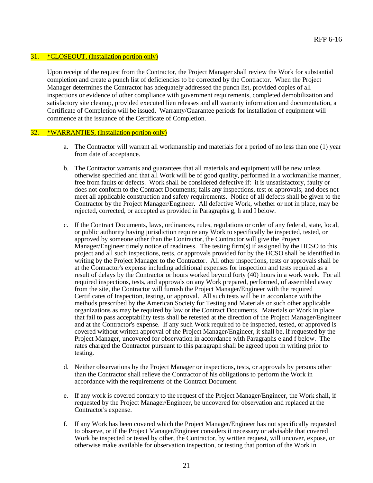#### 31. \*CLOSEOUT, (Installation portion only)

Upon receipt of the request from the Contractor, the Project Manager shall review the Work for substantial completion and create a punch list of deficiencies to be corrected by the Contractor. When the Project Manager determines the Contractor has adequately addressed the punch list, provided copies of all inspections or evidence of other compliance with government requirements, completed demobilization and satisfactory site cleanup, provided executed lien releases and all warranty information and documentation, a Certificate of Completion will be issued. Warranty/Guarantee periods for installation of equipment will commence at the issuance of the Certificate of Completion.

#### 32. \*WARRANTIES, (Installation portion only)

- a. The Contractor will warrant all workmanship and materials for a period of no less than one (1) year from date of acceptance.
- b. The Contractor warrants and guarantees that all materials and equipment will be new unless otherwise specified and that all Work will be of good quality, performed in a workmanlike manner, free from faults or defects. Work shall be considered defective if: it is unsatisfactory, faulty or does not conform to the Contract Documents; fails any inspections, test or approvals; and does not meet all applicable construction and safety requirements. Notice of all defects shall be given to the Contractor by the Project Manager/Engineer. All defective Work, whether or not in place, may be rejected, corrected, or accepted as provided in Paragraphs g, h and I below.
- c. If the Contract Documents, laws, ordinances, rules, regulations or order of any federal, state, local, or public authority having jurisdiction require any Work to specifically be inspected, tested, or approved by someone other than the Contractor, the Contractor will give the Project Manager/Engineer timely notice of readiness. The testing firm(s) if assigned by the HCSO to this project and all such inspections, tests, or approvals provided for by the HCSO shall be identified in writing by the Project Manager to the Contractor. All other inspections, tests or approvals shall be at the Contractor's expense including additional expenses for inspection and tests required as a result of delays by the Contractor or hours worked beyond forty (40) hours in a work week. For all required inspections, tests, and approvals on any Work prepared, performed, of assembled away from the site, the Contractor will furnish the Project Manager/Engineer with the required Certificates of Inspection, testing, or approval. All such tests will be in accordance with the methods prescribed by the American Society for Testing and Materials or such other applicable organizations as may be required by law or the Contract Documents. Materials or Work in place that fail to pass acceptability tests shall be retested at the direction of the Project Manager/Engineer and at the Contractor's expense. If any such Work required to be inspected, tested, or approved is covered without written approval of the Project Manager/Engineer, it shall be, if requested by the Project Manager, uncovered for observation in accordance with Paragraphs e and f below. The rates charged the Contractor pursuant to this paragraph shall be agreed upon in writing prior to testing.
- d. Neither observations by the Project Manager or inspections, tests, or approvals by persons other than the Contractor shall relieve the Contractor of his obligations to perform the Work in accordance with the requirements of the Contract Document.
- e. If any work is covered contrary to the request of the Project Manager/Engineer, the Work shall, if requested by the Project Manager/Engineer, be uncovered for observation and replaced at the Contractor's expense.
- f. If any Work has been covered which the Project Manager/Engineer has not specifically requested to observe, or if the Project Manager/Engineer considers it necessary or advisable that covered Work be inspected or tested by other, the Contractor, by written request, will uncover, expose, or otherwise make available for observation inspection, or testing that portion of the Work in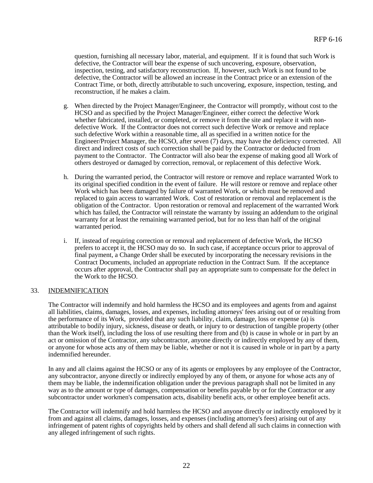question, furnishing all necessary labor, material, and equipment. If it is found that such Work is defective, the Contractor will bear the expense of such uncovering, exposure, observation, inspection, testing, and satisfactory reconstruction. If, however, such Work is not found to be defective, the Contractor will be allowed an increase in the Contract price or an extension of the Contract Time, or both, directly attributable to such uncovering, exposure, inspection, testing, and reconstruction, if he makes a claim.

- g. When directed by the Project Manager/Engineer, the Contractor will promptly, without cost to the HCSO and as specified by the Project Manager/Engineer, either correct the defective Work whether fabricated, installed, or completed, or remove it from the site and replace it with nondefective Work. If the Contractor does not correct such defective Work or remove and replace such defective Work within a reasonable time, all as specified in a written notice for the Engineer/Project Manager, the HCSO, after seven (7) days, may have the deficiency corrected. All direct and indirect costs of such correction shall be paid by the Contractor or deducted from payment to the Contractor. The Contractor will also bear the expense of making good all Work of others destroyed or damaged by correction, removal, or replacement of this defective Work.
- h. During the warranted period, the Contractor will restore or remove and replace warranted Work to its original specified condition in the event of failure. He will restore or remove and replace other Work which has been damaged by failure of warranted Work, or which must be removed and replaced to gain access to warranted Work. Cost of restoration or removal and replacement is the obligation of the Contractor. Upon restoration or removal and replacement of the warranted Work which has failed, the Contractor will reinstate the warranty by issuing an addendum to the original warranty for at least the remaining warranted period, but for no less than half of the original warranted period.
- i. If, instead of requiring correction or removal and replacement of defective Work, the HCSO prefers to accept it, the HCSO may do so. In such case, if acceptance occurs prior to approval of final payment, a Change Order shall be executed by incorporating the necessary revisions in the Contract Documents, included an appropriate reduction in the Contract Sum. If the acceptance occurs after approval, the Contractor shall pay an appropriate sum to compensate for the defect in the Work to the HCSO.

#### 33. INDEMNIFICATION

The Contractor will indemnify and hold harmless the HCSO and its employees and agents from and against all liabilities, claims, damages, losses, and expenses, including attorneys' fees arising out of or resulting from the performance of its Work, provided that any such liability, claim, damage, loss or expense (a) is attributable to bodily injury, sickness, disease or death, or injury to or destruction of tangible property (other than the Work itself), including the loss of use resulting there from and (b) is cause in whole or in part by an act or omission of the Contractor, any subcontractor, anyone directly or indirectly employed by any of them, or anyone for whose acts any of them may be liable, whether or not it is caused in whole or in part by a party indemnified hereunder.

In any and all claims against the HCSO or any of its agents or employees by any employee of the Contractor, any subcontractor, anyone directly or indirectly employed by any of them, or anyone for whose acts any of them may be liable, the indemnification obligation under the previous paragraph shall not be limited in any way as to the amount or type of damages, compensation or benefits payable by or for the Contractor or any subcontractor under workmen's compensation acts, disability benefit acts, or other employee benefit acts.

The Contractor will indemnify and hold harmless the HCSO and anyone directly or indirectly employed by it from and against all claims, damages, losses, and expenses (including attorney's fees) arising out of any infringement of patent rights of copyrights held by others and shall defend all such claims in connection with any alleged infringement of such rights.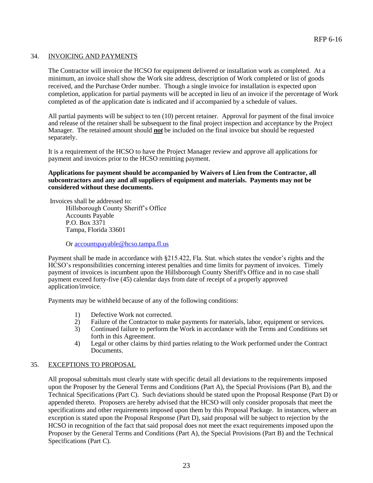#### 34. INVOICING AND PAYMENTS

The Contractor will invoice the HCSO for equipment delivered or installation work as completed. At a minimum, an invoice shall show the Work site address, description of Work completed or list of goods received, and the Purchase Order number. Though a single invoice for installation is expected upon completion, application for partial payments will be accepted in lieu of an invoice if the percentage of Work completed as of the application date is indicated and if accompanied by a schedule of values.

All partial payments will be subject to ten (10) percent retainer. Approval for payment of the final invoice and release of the retainer shall be subsequent to the final project inspection and acceptance by the Project Manager. The retained amount should *not* be included on the final invoice but should be requested separately.

It is a requirement of the HCSO to have the Project Manager review and approve all applications for payment and invoices prior to the HCSO remitting payment.

#### **Applications for payment should be accompanied by Waivers of Lien from the Contractor, all subcontractors and any and all suppliers of equipment and materials. Payments may not be considered without these documents.**

Invoices shall be addressed to: Hillsborough County Sheriff's Office Accounts Payable P.O. Box 3371 Tampa, Florida 33601

Or [accountspayable@hcso.tampa.fl.us](mailto:accountspayable@hcso.tampa.fl.us)

Payment shall be made in accordance with §215.422, Fla. Stat. which states the vendor's rights and the HCSO's responsibilities concerning interest penalties and time limits for payment of invoices. Timely payment of invoices is incumbent upon the Hillsborough County Sheriff's Office and in no case shall payment exceed forty-five (45) calendar days from date of receipt of a properly approved application/invoice.

Payments may be withheld because of any of the following conditions:

- 1) Defective Work not corrected.
- 2) Failure of the Contractor to make payments for materials, labor, equipment or services.
- 3) Continued failure to perform the Work in accordance with the Terms and Conditions set forth in this Agreement.
- 4) Legal or other claims by third parties relating to the Work performed under the Contract Documents.

#### 35. EXCEPTIONS TO PROPOSAL

All proposal submittals must clearly state with specific detail all deviations to the requirements imposed upon the Proposer by the General Terms and Conditions (Part A), the Special Provisions (Part B), and the Technical Specifications (Part C). Such deviations should be stated upon the Proposal Response (Part D) or appended thereto. Proposers are hereby advised that the HCSO will only consider proposals that meet the specifications and other requirements imposed upon them by this Proposal Package. In instances, where an exception is stated upon the Proposal Response (Part D), said proposal will be subject to rejection by the HCSO in recognition of the fact that said proposal does not meet the exact requirements imposed upon the Proposer by the General Terms and Conditions (Part A), the Special Provisions (Part B) and the Technical Specifications (Part C).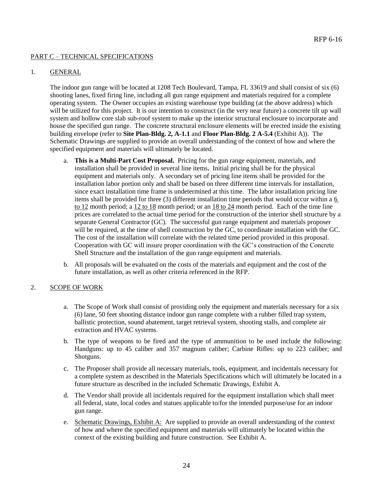#### PART C – TECHNICAL SPECIFICATIONS

#### 1. GENERAL

The indoor gun range will be located at 1208 Tech Boulevard, Tampa, FL 33619 and shall consist of six (6) shooting lanes, fixed firing line, including all gun range equipment and materials required for a complete operating system. The Owner occupies an existing warehouse type building (at the above address) which will be utilized for this project. It is our intention to construct (in the very near future) a concrete tilt up wall system and hollow core slab sub-roof system to make up the interior structural enclosure to incorporate and house the specified gun range. The concrete structural enclosure elements will be erected inside the existing building envelope (refer to **Site Plan-Bldg. 2, A-1.1** and **Floor Plan-Bldg. 2 A-5.4** (Exhibit A)). The Schematic Drawings are supplied to provide an overall understanding of the context of how and where the specified equipment and materials will ultimately be located.

- a. **This is a Multi-Part Cost Proposal.** Pricing for the gun range equipment, materials, and installation shall be provided in several line items**.** Initial pricing shall be for the physical equipment and materials only. A secondary set of pricing line items shall be provided for the installation labor portion only and shall be based on three different time intervals for installation, since exact installation time frame is undetermined at this time. The labor installation pricing line items shall be provided for three (3) different installation time periods that would occur within a 6 to 12 month period; a 12 to 18 month period; or an 18 to 24 month period.Each of the time line prices are correlated to the actual time period for the construction of the interior shell structure by a separate General Contractor (GC). The successful gun range equipment and materials proposer will be required, at the time of shell construction by the GC, to coordinate installation with the GC. The cost of the installation will correlate with the related time period provided in this proposal. Cooperation with GC will insure proper coordination with the GC's construction of the Concrete Shell Structure and the installation of the gun range equipment and materials.
- b. All proposals will be evaluated on the costs of the materials and equipment and the cost of the future installation, as well as other criteria referenced in the RFP.

#### 2. SCOPE OF WORK

- a. The Scope of Work shall consist of providing only the equipment and materials necessary for a six (6) lane, 50 feet shooting distance indoor gun range complete with a rubber filled trap system, ballistic protection, sound abatement, target retrieval system, shooting stalls, and complete air extraction and HVAC systems.
- b. The type of weapons to be fired and the type of ammunition to be used include the following: Handguns: up to 45 caliber and 357 magnum caliber; Carbine Rifles: up to 223 caliber; and Shotguns.
- c. The Proposer shall provide all necessary materials, tools, equipment, and incidentals necessary for a complete system as described in the Materials Specifications which will ultimately be located in a future structure as described in the included Schematic Drawings, Exhibit A.
- d. The Vendor shall provide all incidentals required for the equipment installation which shall meet all federal, state, local codes and statues applicable to/for the intended purpose/use for an indoor gun range.
- e. Schematic Drawings, Exhibit A: Are supplied to provide an overall understanding of the context of how and where the specified equipment and materials will ultimately be located within the context of the existing building and future construction. See Exhibit A.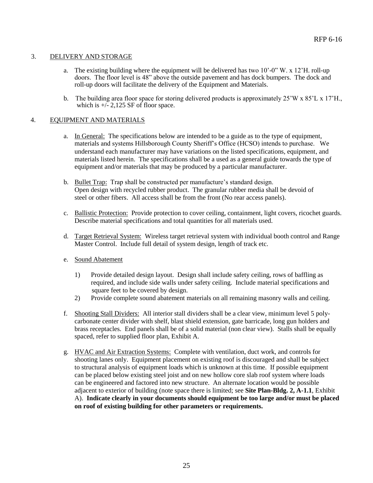#### 3. DELIVERY AND STORAGE

- a. The existing building where the equipment will be delivered has two  $10^{\circ}$ -0" W. x  $12^{\circ}$ H. roll-up doors. The floor level is 48" above the outside pavement and has dock bumpers. The dock and roll-up doors will facilitate the delivery of the Equipment and Materials.
- b. The building area floor space for storing delivered products is approximately  $25'W \times 85'L \times 17'H$ . which is  $+\sqrt{2}$ , 125 SF of floor space.

#### 4. EQUIPMENT AND MATERIALS

- a. In General: The specifications below are intended to be a guide as to the type of equipment, materials and systems Hillsborough County Sheriff's Office (HCSO) intends to purchase. We understand each manufacturer may have variations on the listed specifications, equipment, and materials listed herein. The specifications shall be a used as a general guide towards the type of equipment and/or materials that may be produced by a particular manufacturer.
- b. Bullet Trap: Trap shall be constructed per manufacture's standard design. Open design with recycled rubber product. The granular rubber media shall be devoid of steel or other fibers. All access shall be from the front (No rear access panels).
- c. Ballistic Protection: Provide protection to cover ceiling, containment, light covers, ricochet guards. Describe material specifications and total quantities for all materials used.
- d. Target Retrieval System: Wireless target retrieval system with individual booth control and Range Master Control. Include full detail of system design, length of track etc.
- e. Sound Abatement
	- 1) Provide detailed design layout. Design shall include safety ceiling, rows of baffling as required, and include side walls under safety ceiling. Include material specifications and square feet to be covered by design.
	- 2) Provide complete sound abatement materials on all remaining masonry walls and ceiling.
- f. Shooting Stall Dividers: All interior stall dividers shall be a clear view, minimum level 5 polycarbonate center divider with shelf, blast shield extension, gate barricade, long gun holders and brass receptacles. End panels shall be of a solid material (non clear view). Stalls shall be equally spaced, refer to supplied floor plan, Exhibit A.
- g. HVAC and Air Extraction Systems: Complete with ventilation, duct work, and controls for shooting lanes only. Equipment placement on existing roof is discouraged and shall be subject to structural analysis of equipment loads which is unknown at this time. If possible equipment can be placed below existing steel joist and on new hollow core slab roof system where loads can be engineered and factored into new structure. An alternate location would be possible adjacent to exterior of building (note space there is limited; see **Site Plan-Bldg. 2, A-1.1**, Exhibit A). **Indicate clearly in your documents should equipment be too large and/or must be placed on roof of existing building for other parameters or requirements.**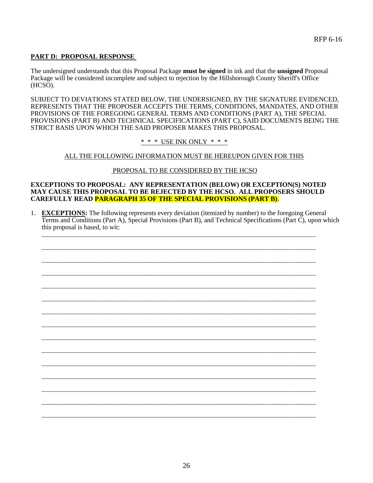#### **PART D: PROPOSAL RESPONSE**

The undersigned understands that this Proposal Package **must be signed** in ink and that the **unsigned** Proposal Package will be considered incomplete and subject to rejection by the Hillsborough County Sheriff's Office (HCSO).

SUBJECT TO DEVIATIONS STATED BELOW, THE UNDERSIGNED, BY THE SIGNATURE EVIDENCED, REPRESENTS THAT THE PROPOSER ACCEPTS THE TERMS, CONDITIONS, MANDATES, AND OTHER PROVISIONS OF THE FOREGOING GENERAL TERMS AND CONDITIONS (PART A), THE SPECIAL PROVISIONS (PART B) AND TECHNICAL SPECIFICATIONS (PART C), SAID DOCUMENTS BEING THE STRICT BASIS UPON WHICH THE SAID PROPOSER MAKES THIS PROPOSAL.

\* \* \* USE INK ONLY \* \* \*

#### ALL THE FOLLOWING INFORMATION MUST BE HEREUPON GIVEN FOR THIS

#### PROPOSAL TO BE CONSIDERED BY THE HCSO

#### **EXCEPTIONS TO PROPOSAL: ANY REPRESENTATION (BELOW) OR EXCEPTION(S) NOTED MAY CAUSE THIS PROPOSAL TO BE REJECTED BY THE HCSO. ALL PROPOSERS SHOULD CAREFULLY READ PARAGRAPH 35 OF THE SPECIAL PROVISIONS (PART B)**.

\_\_\_\_\_\_\_\_\_\_\_\_\_\_\_\_\_\_\_\_\_\_\_\_\_\_\_\_\_\_\_\_\_\_\_\_\_\_\_\_\_\_\_\_\_\_\_\_\_\_\_\_\_\_\_\_\_\_\_\_\_\_\_\_\_\_\_\_\_\_\_\_\_\_\_\_\_\_\_\_\_\_\_\_\_\_\_\_\_\_

\_\_\_\_\_\_\_\_\_\_\_\_\_\_\_\_\_\_\_\_\_\_\_\_\_\_\_\_\_\_\_\_\_\_\_\_\_\_\_\_\_\_\_\_\_\_\_\_\_\_\_\_\_\_\_\_\_\_\_\_\_\_\_\_\_\_\_\_\_\_\_\_\_\_\_\_\_\_\_\_\_\_\_\_\_\_\_\_\_\_

\_\_\_\_\_\_\_\_\_\_\_\_\_\_\_\_\_\_\_\_\_\_\_\_\_\_\_\_\_\_\_\_\_\_\_\_\_\_\_\_\_\_\_\_\_\_\_\_\_\_\_\_\_\_\_\_\_\_\_\_\_\_\_\_\_\_\_\_\_\_\_\_\_\_\_\_\_\_\_\_\_\_\_\_\_\_\_\_\_\_

\_\_\_\_\_\_\_\_\_\_\_\_\_\_\_\_\_\_\_\_\_\_\_\_\_\_\_\_\_\_\_\_\_\_\_\_\_\_\_\_\_\_\_\_\_\_\_\_\_\_\_\_\_\_\_\_\_\_\_\_\_\_\_\_\_\_\_\_\_\_\_\_\_\_\_\_\_\_\_\_\_\_\_\_\_\_\_\_\_\_

\_\_\_\_\_\_\_\_\_\_\_\_\_\_\_\_\_\_\_\_\_\_\_\_\_\_\_\_\_\_\_\_\_\_\_\_\_\_\_\_\_\_\_\_\_\_\_\_\_\_\_\_\_\_\_\_\_\_\_\_\_\_\_\_\_\_\_\_\_\_\_\_\_\_\_\_\_\_\_\_\_\_\_\_\_\_\_\_\_\_

\_\_\_\_\_\_\_\_\_\_\_\_\_\_\_\_\_\_\_\_\_\_\_\_\_\_\_\_\_\_\_\_\_\_\_\_\_\_\_\_\_\_\_\_\_\_\_\_\_\_\_\_\_\_\_\_\_\_\_\_\_\_\_\_\_\_\_\_\_\_\_\_\_\_\_\_\_\_\_\_\_\_\_\_\_\_\_\_\_\_

\_\_\_\_\_\_\_\_\_\_\_\_\_\_\_\_\_\_\_\_\_\_\_\_\_\_\_\_\_\_\_\_\_\_\_\_\_\_\_\_\_\_\_\_\_\_\_\_\_\_\_\_\_\_\_\_\_\_\_\_\_\_\_\_\_\_\_\_\_\_\_\_\_\_\_\_\_\_\_\_\_\_\_\_\_\_\_\_\_\_

\_\_\_\_\_\_\_\_\_\_\_\_\_\_\_\_\_\_\_\_\_\_\_\_\_\_\_\_\_\_\_\_\_\_\_\_\_\_\_\_\_\_\_\_\_\_\_\_\_\_\_\_\_\_\_\_\_\_\_\_\_\_\_\_\_\_\_\_\_\_\_\_\_\_\_\_\_\_\_\_\_\_\_\_\_\_\_\_\_\_

\_\_\_\_\_\_\_\_\_\_\_\_\_\_\_\_\_\_\_\_\_\_\_\_\_\_\_\_\_\_\_\_\_\_\_\_\_\_\_\_\_\_\_\_\_\_\_\_\_\_\_\_\_\_\_\_\_\_\_\_\_\_\_\_\_\_\_\_\_\_\_\_\_\_\_\_\_\_\_\_\_\_\_\_\_\_\_\_\_\_

\_\_\_\_\_\_\_\_\_\_\_\_\_\_\_\_\_\_\_\_\_\_\_\_\_\_\_\_\_\_\_\_\_\_\_\_\_\_\_\_\_\_\_\_\_\_\_\_\_\_\_\_\_\_\_\_\_\_\_\_\_\_\_\_\_\_\_\_\_\_\_\_\_\_\_\_\_\_\_\_\_\_\_\_\_\_\_\_\_\_

\_\_\_\_\_\_\_\_\_\_\_\_\_\_\_\_\_\_\_\_\_\_\_\_\_\_\_\_\_\_\_\_\_\_\_\_\_\_\_\_\_\_\_\_\_\_\_\_\_\_\_\_\_\_\_\_\_\_\_\_\_\_\_\_\_\_\_\_\_\_\_\_\_\_\_\_\_\_\_\_\_\_\_\_\_\_\_\_\_\_

\_\_\_\_\_\_\_\_\_\_\_\_\_\_\_\_\_\_\_\_\_\_\_\_\_\_\_\_\_\_\_\_\_\_\_\_\_\_\_\_\_\_\_\_\_\_\_\_\_\_\_\_\_\_\_\_\_\_\_\_\_\_\_\_\_\_\_\_\_\_\_\_\_\_\_\_\_\_\_\_\_\_\_\_\_\_\_\_\_\_

\_\_\_\_\_\_\_\_\_\_\_\_\_\_\_\_\_\_\_\_\_\_\_\_\_\_\_\_\_\_\_\_\_\_\_\_\_\_\_\_\_\_\_\_\_\_\_\_\_\_\_\_\_\_\_\_\_\_\_\_\_\_\_\_\_\_\_\_\_\_\_\_\_\_\_\_\_\_\_\_\_\_\_\_\_\_\_\_\_\_

\_\_\_\_\_\_\_\_\_\_\_\_\_\_\_\_\_\_\_\_\_\_\_\_\_\_\_\_\_\_\_\_\_\_\_\_\_\_\_\_\_\_\_\_\_\_\_\_\_\_\_\_\_\_\_\_\_\_\_\_\_\_\_\_\_\_\_\_\_\_\_\_\_\_\_\_\_\_\_\_\_\_\_\_\_\_\_\_\_\_

1. **EXCEPTIONS:** The following represents every deviation (itemized by number) to the foregoing General Terms and Conditions (Part A), Special Provisions (Part B), and Technical Specifications (Part C), upon which this proposal is based, to wit: \_\_\_\_\_\_\_\_\_\_\_\_\_\_\_\_\_\_\_\_\_\_\_\_\_\_\_\_\_\_\_\_\_\_\_\_\_\_\_\_\_\_\_\_\_\_\_\_\_\_\_\_\_\_\_\_\_\_\_\_\_\_\_\_\_\_\_\_\_\_\_\_\_\_\_\_\_\_\_\_\_\_\_\_\_\_\_\_\_\_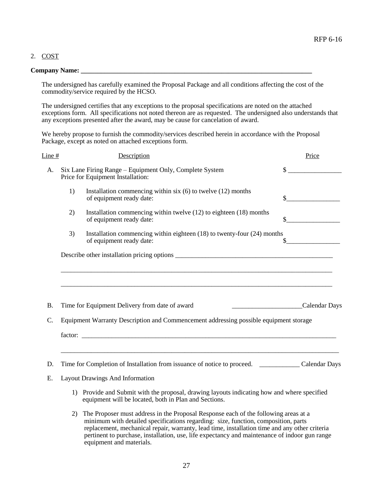#### 2. COST

#### **Company Name: \_\_\_\_\_\_\_\_\_\_\_\_\_\_\_\_\_\_\_\_\_\_\_\_\_\_\_\_\_\_\_\_\_\_\_\_\_\_\_\_\_\_\_\_\_\_\_\_\_\_\_\_\_\_\_\_\_\_\_\_\_\_\_\_\_\_\_\_\_**

The undersigned has carefully examined the Proposal Package and all conditions affecting the cost of the commodity/service required by the HCSO.

The undersigned certifies that any exceptions to the proposal specifications are noted on the attached exceptions form. All specifications not noted thereon are as requested. The undersigned also understands that any exceptions presented after the award, may be cause for cancelation of award.

We hereby propose to furnish the commodity/services described herein in accordance with the Proposal Package, except as noted on attached exceptions form.

| Line #          | Description                                                                                                                                                                                                                                                                                                                                                                                                                                                                        | Price         |
|-----------------|------------------------------------------------------------------------------------------------------------------------------------------------------------------------------------------------------------------------------------------------------------------------------------------------------------------------------------------------------------------------------------------------------------------------------------------------------------------------------------|---------------|
| A.              | Six Lane Firing Range – Equipment Only, Complete System<br>Price for Equipment Installation:                                                                                                                                                                                                                                                                                                                                                                                       | $\sim$        |
|                 | 1)<br>Installation commencing within six $(6)$ to twelve $(12)$ months<br>of equipment ready date:                                                                                                                                                                                                                                                                                                                                                                                 | $\sim$        |
|                 | Installation commencing within twelve (12) to eighteen (18) months<br>2)<br>of equipment ready date:                                                                                                                                                                                                                                                                                                                                                                               | $\frac{1}{2}$ |
|                 | Installation commencing within eighteen (18) to twenty-four (24) months<br>3)<br>of equipment ready date:                                                                                                                                                                                                                                                                                                                                                                          | $\frac{1}{2}$ |
|                 |                                                                                                                                                                                                                                                                                                                                                                                                                                                                                    |               |
|                 |                                                                                                                                                                                                                                                                                                                                                                                                                                                                                    |               |
|                 | <u> 1989 - Johann Barn, amerikan bernama di sebagai bernama dalam bernama dalam bernama dalam bernama dalam bern</u>                                                                                                                                                                                                                                                                                                                                                               |               |
|                 |                                                                                                                                                                                                                                                                                                                                                                                                                                                                                    |               |
| <b>B.</b>       | Time for Equipment Delivery from date of award                                                                                                                                                                                                                                                                                                                                                                                                                                     | Calendar Days |
| $\mathcal{C}$ . | Equipment Warranty Description and Commencement addressing possible equipment storage                                                                                                                                                                                                                                                                                                                                                                                              |               |
|                 |                                                                                                                                                                                                                                                                                                                                                                                                                                                                                    |               |
|                 |                                                                                                                                                                                                                                                                                                                                                                                                                                                                                    |               |
| D.              | Time for Completion of Installation from issuance of notice to proceed. Calendar Days                                                                                                                                                                                                                                                                                                                                                                                              |               |
| E.              | <b>Layout Drawings And Information</b>                                                                                                                                                                                                                                                                                                                                                                                                                                             |               |
|                 | 1) Provide and Submit with the proposal, drawing layouts indicating how and where specified<br>equipment will be located, both in Plan and Sections.                                                                                                                                                                                                                                                                                                                               |               |
|                 | The Proposer must address in the Proposal Response each of the following areas at a<br>2)<br>$\frac{1}{2}$ , $\frac{1}{2}$ , $\frac{1}{2}$ , $\frac{1}{2}$ , $\frac{1}{2}$ , $\frac{1}{2}$ , $\frac{1}{2}$ , $\frac{1}{2}$ , $\frac{1}{2}$<br>$\mathbf{r}$ and $\mathbf{r}$ are the set of the set of the set of the set of the set of the set of the set of the set of the set of the set of the set of the set of the set of the set of the set of the set of the set of the set |               |

 minimum with detailed specifications regarding: size, function, composition, parts replacement, mechanical repair, warranty, lead time, installation time and any other criteria pertinent to purchase, installation, use, life expectancy and maintenance of indoor gun range equipment and materials.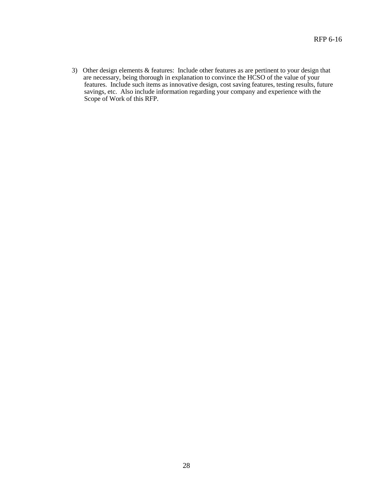3) Other design elements & features: Include other features as are pertinent to your design that are necessary, being thorough in explanation to convince the HCSO of the value of your features. Include such items as innovative design, cost saving features, testing results, future savings, etc. Also include information regarding your company and experience with the Scope of Work of this RFP.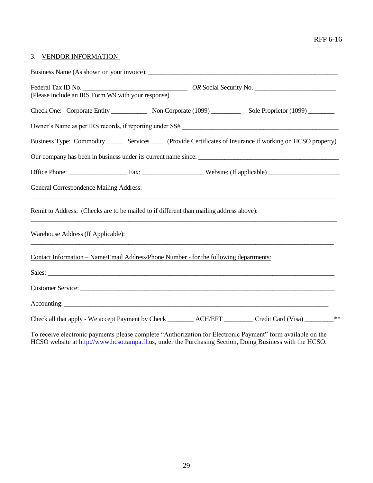#### RFP 6-16

#### 3. VENDOR INFORMATION

| (Please include an IRS Form W9 with your response)                                                                                                                                                                                   |  |      |
|--------------------------------------------------------------------------------------------------------------------------------------------------------------------------------------------------------------------------------------|--|------|
| Check One: Corporate Entity Non Corporate (1099) Sole Proprietor (1099)                                                                                                                                                              |  |      |
| Owner's Name as per IRS records, if reporting under SS#                                                                                                                                                                              |  |      |
| Business Type: Commodity _______ Services _____ (Provide Certificates of Insurance if working on HCSO property)                                                                                                                      |  |      |
|                                                                                                                                                                                                                                      |  |      |
|                                                                                                                                                                                                                                      |  |      |
| General Correspondence Mailing Address:<br>,我们也不会有什么。""我们的人,我们也不会有什么?""我们的人,我们也不会有什么?""我们的人,我们也不会有什么?""我们的人,我们也不会有什么?""我们的人                                                                                                          |  |      |
| Remit to Address: (Checks are to be mailed to if different than mailing address above):                                                                                                                                              |  |      |
| Warehouse Address (If Applicable):                                                                                                                                                                                                   |  |      |
| Contact Information – Name/Email Address/Phone Number - for the following departments:                                                                                                                                               |  |      |
| Sales: <u>the contract of the contract of the contract of the contract of the contract of the contract of the contract of the contract of the contract of the contract of the contract of the contract of the contract of the co</u> |  |      |
| Customer Service: Lawrence and the contract of the contract of the contract of the contract of the contract of the contract of the contract of the contract of the contract of the contract of the contract of the contract of       |  |      |
|                                                                                                                                                                                                                                      |  |      |
| Check all that apply - We accept Payment by Check _________ ACH/EFT ________ Credit Card (Visa) _______                                                                                                                              |  | $**$ |
|                                                                                                                                                                                                                                      |  |      |

To receive electronic payments please complete "Authorization for Electronic Payment" form available on the HCSO website at [http://www.hcso.tampa.fl.us,](http://www.hcso.tampa.fl.us/) under the Purchasing Section, Doing Business with the HCSO.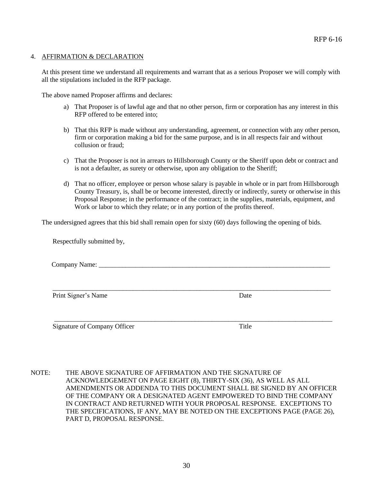#### <span id="page-29-0"></span>4. AFFIRMATION & DECLARATION

At this present time we understand all requirements and warrant that as a serious Proposer we will comply with all the stipulations included in the RFP package.

The above named Proposer affirms and declares:

- a) That Proposer is of lawful age and that no other person, firm or corporation has any interest in this RFP offered to be entered into;
- b) That this RFP is made without any understanding, agreement, or connection with any other person, firm or corporation making a bid for the same purpose, and is in all respects fair and without collusion or fraud;
- c) That the Proposer is not in arrears to Hillsborough County or the Sheriff upon debt or contract and is not a defaulter, as surety or otherwise, upon any obligation to the Sheriff;
- d) That no officer, employee or person whose salary is payable in whole or in part from Hillsborough County Treasury, is, shall be or become interested, directly or indirectly, surety or otherwise in this Proposal Response; in the performance of the contract; in the supplies, materials, equipment, and Work or labor to which they relate; or in any portion of the profits thereof.

The undersigned agrees that this bid shall remain open for sixty (60) days following the opening of bids.

Respectfully submitted by,

Company Name:

\_\_\_\_\_\_\_\_\_\_\_\_\_\_\_\_\_\_\_\_\_\_\_\_\_\_\_\_\_\_\_\_\_\_\_\_\_\_\_\_\_\_\_\_\_\_\_\_\_\_\_\_\_\_\_\_\_\_\_\_\_\_\_\_\_\_\_\_\_\_\_\_\_\_\_\_\_\_\_\_\_\_\_

Print Signer's Name Date

\_\_\_\_\_\_\_\_\_\_\_\_\_\_\_\_\_\_\_\_\_\_\_\_\_\_\_\_\_\_\_\_\_\_\_\_\_\_\_\_\_\_\_\_\_\_\_\_\_\_\_\_\_\_\_\_\_\_\_\_\_\_\_\_\_\_\_\_\_\_\_\_\_\_\_\_\_\_\_\_\_\_\_ Signature of Company Officer Title

NOTE: THE ABOVE SIGNATURE OF AFFIRMATION AND THE SIGNATURE OF ACKNOWLEDGEMENT ON PAGE EIGHT (8), THIRTY-SIX (36), AS WELL AS ALL AMENDMENTS OR ADDENDA TO THIS DOCUMENT SHALL BE SIGNED BY AN OFFICER OF THE COMPANY OR A DESIGNATED AGENT EMPOWERED TO BIND THE COMPANY IN CONTRACT AND RETURNED WITH YOUR PROPOSAL RESPONSE. EXCEPTIONS TO THE SPECIFICATIONS, IF ANY, MAY BE NOTED ON THE EXCEPTIONS PAGE (PAGE 26), PART D, PROPOSAL RESPONSE.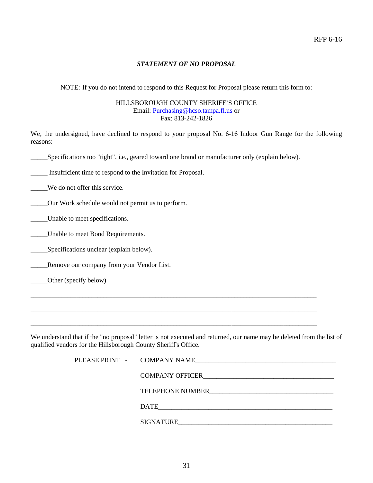#### *STATEMENT OF NO PROPOSAL*

NOTE: If you do not intend to respond to this Request for Proposal please return this form to:

#### HILLSBOROUGH COUNTY SHERIFF'S OFFICE Email[: Purchasing@hcso.tampa.fl.us](mailto:Purchasing@hcso.tampa.fl.us) or Fax: 813-242-1826

We, the undersigned, have declined to respond to your proposal No. 6-16 Indoor Gun Range for the following reasons:

\_\_\_\_\_Specifications too "tight", i.e., geared toward one brand or manufacturer only (explain below).

\_\_\_\_\_ Insufficient time to respond to the Invitation for Proposal.

\_\_\_\_\_We do not offer this service.

\_\_\_\_\_Our Work schedule would not permit us to perform.

Unable to meet specifications.

\_\_\_\_\_Unable to meet Bond Requirements.

\_\_\_\_\_Specifications unclear (explain below).

\_\_\_\_\_Remove our company from your Vendor List.

\_\_\_\_\_Other (specify below)

We understand that if the "no proposal" letter is not executed and returned, our name may be deleted from the list of qualified vendors for the Hillsborough County Sheriff's Office.

\_\_\_\_\_\_\_\_\_\_\_\_\_\_\_\_\_\_\_\_\_\_\_\_\_\_\_\_\_\_\_\_\_\_\_\_\_\_\_\_\_\_\_\_\_\_\_\_\_\_\_\_\_\_\_\_\_\_\_\_\_\_\_\_\_\_\_\_\_\_\_\_\_\_\_\_\_\_\_\_\_\_\_\_\_\_\_\_\_\_\_\_\_\_

\_\_\_\_\_\_\_\_\_\_\_\_\_\_\_\_\_\_\_\_\_\_\_\_\_\_\_\_\_\_\_\_\_\_\_\_\_\_\_\_\_\_\_\_\_\_\_\_\_\_\_\_\_\_\_\_\_\_\_\_\_\_\_\_\_\_\_\_\_\_\_\_\_\_\_\_\_\_\_\_\_\_\_\_\_\_\_\_\_\_\_\_\_\_

\_\_\_\_\_\_\_\_\_\_\_\_\_\_\_\_\_\_\_\_\_\_\_\_\_\_\_\_\_\_\_\_\_\_\_\_\_\_\_\_\_\_\_\_\_\_\_\_\_\_\_\_\_\_\_\_\_\_\_\_\_\_\_\_\_\_\_\_\_\_\_\_\_\_\_\_\_\_\_\_\_\_\_\_\_\_\_\_\_\_\_\_\_\_

| PLEASE PRINT - COMPANY NAME | <u> 1980 - Jan Sterlân yn Sterlân ûntstier fan de Brûke yn de Brûke yn de Brûke yn de Brûke yn de Brûke yn de Brû</u> |
|-----------------------------|-----------------------------------------------------------------------------------------------------------------------|
|                             |                                                                                                                       |
|                             | TELEPHONE NUMBER                                                                                                      |
|                             | DATE                                                                                                                  |
|                             | <b>SIGNATURE</b>                                                                                                      |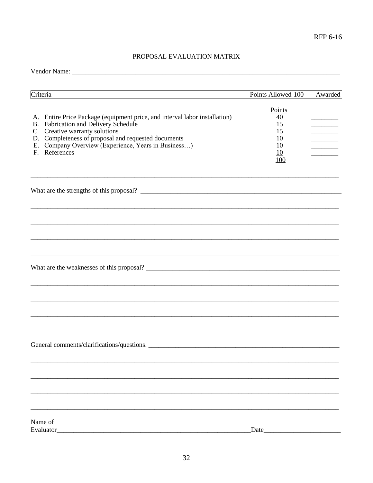### PROPOSAL EVALUATION MATRIX

| Criteria                                                                                                                                                                                                                                                                            | Points Allowed-100                                | Awarded |
|-------------------------------------------------------------------------------------------------------------------------------------------------------------------------------------------------------------------------------------------------------------------------------------|---------------------------------------------------|---------|
| A. Entire Price Package (equipment price, and interval labor installation)<br>B. Fabrication and Delivery Schedule<br>C. Creative warranty solutions<br>D. Completeness of proposal and requested documents<br>E. Company Overview (Experience, Years in Business)<br>F. References | Points<br>40<br>15<br>15<br>10<br>10<br>10<br>100 |         |
|                                                                                                                                                                                                                                                                                     |                                                   |         |
|                                                                                                                                                                                                                                                                                     |                                                   |         |
|                                                                                                                                                                                                                                                                                     |                                                   |         |
| What are the weaknesses of this proposal?                                                                                                                                                                                                                                           |                                                   |         |
|                                                                                                                                                                                                                                                                                     |                                                   |         |
| General comments/clarifications/questions.                                                                                                                                                                                                                                          |                                                   |         |
|                                                                                                                                                                                                                                                                                     |                                                   |         |
|                                                                                                                                                                                                                                                                                     |                                                   |         |
| Name of<br>Evaluator                                                                                                                                                                                                                                                                | Date                                              |         |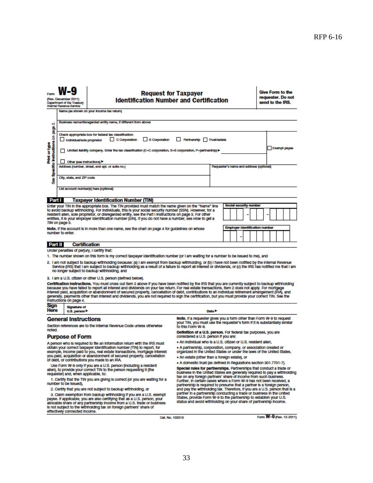|                                                                                                                                                                                                                                                                                                                                                                                                                                                                                                                                                                                                                                                          | (Ray, December 2011)<br><b>Department of the Treasury</b><br>Internal Revenue Service                                                                       | <b>Request for Taxpayer</b><br><b>Identification Number and Certification</b>                                                                                                                                                                                                                                                                                                                                                                  |                                               |                                                                                                                                                    | Give Form to the<br>requester. Do not<br>send to the IRS. |
|----------------------------------------------------------------------------------------------------------------------------------------------------------------------------------------------------------------------------------------------------------------------------------------------------------------------------------------------------------------------------------------------------------------------------------------------------------------------------------------------------------------------------------------------------------------------------------------------------------------------------------------------------------|-------------------------------------------------------------------------------------------------------------------------------------------------------------|------------------------------------------------------------------------------------------------------------------------------------------------------------------------------------------------------------------------------------------------------------------------------------------------------------------------------------------------------------------------------------------------------------------------------------------------|-----------------------------------------------|----------------------------------------------------------------------------------------------------------------------------------------------------|-----------------------------------------------------------|
|                                                                                                                                                                                                                                                                                                                                                                                                                                                                                                                                                                                                                                                          |                                                                                                                                                             | Name (as shown on your income tax return)                                                                                                                                                                                                                                                                                                                                                                                                      |                                               |                                                                                                                                                    |                                                           |
| οi<br>ලි                                                                                                                                                                                                                                                                                                                                                                                                                                                                                                                                                                                                                                                 |                                                                                                                                                             | Business name/disregarded entity name, if different from above                                                                                                                                                                                                                                                                                                                                                                                 |                                               |                                                                                                                                                    |                                                           |
|                                                                                                                                                                                                                                                                                                                                                                                                                                                                                                                                                                                                                                                          |                                                                                                                                                             | Check appropriate box for federal tax classification:                                                                                                                                                                                                                                                                                                                                                                                          |                                               |                                                                                                                                                    |                                                           |
|                                                                                                                                                                                                                                                                                                                                                                                                                                                                                                                                                                                                                                                          | Individual/sole propriator                                                                                                                                  | $\Box$ 8 Corporation<br>$\Box$ C Corporation                                                                                                                                                                                                                                                                                                                                                                                                   | Partnership Trust/estate                      |                                                                                                                                                    |                                                           |
| Specific instructions on<br>Print or type                                                                                                                                                                                                                                                                                                                                                                                                                                                                                                                                                                                                                |                                                                                                                                                             | Initiad lability company. Enter the tax classification (C=C corporation, S=S corporation, P=partnership) >                                                                                                                                                                                                                                                                                                                                     |                                               |                                                                                                                                                    | <b>Exampt payee</b>                                       |
|                                                                                                                                                                                                                                                                                                                                                                                                                                                                                                                                                                                                                                                          | Other (see Instructions)                                                                                                                                    |                                                                                                                                                                                                                                                                                                                                                                                                                                                |                                               |                                                                                                                                                    |                                                           |
|                                                                                                                                                                                                                                                                                                                                                                                                                                                                                                                                                                                                                                                          |                                                                                                                                                             | Address (number, street, and apt. or suite no.)                                                                                                                                                                                                                                                                                                                                                                                                |                                               | Requester's name and address (optional)                                                                                                            |                                                           |
| Ĵ                                                                                                                                                                                                                                                                                                                                                                                                                                                                                                                                                                                                                                                        | City, state, and ZIP code                                                                                                                                   |                                                                                                                                                                                                                                                                                                                                                                                                                                                |                                               |                                                                                                                                                    |                                                           |
|                                                                                                                                                                                                                                                                                                                                                                                                                                                                                                                                                                                                                                                          |                                                                                                                                                             | List account number(s) here (optional)                                                                                                                                                                                                                                                                                                                                                                                                         |                                               |                                                                                                                                                    |                                                           |
|                                                                                                                                                                                                                                                                                                                                                                                                                                                                                                                                                                                                                                                          |                                                                                                                                                             |                                                                                                                                                                                                                                                                                                                                                                                                                                                |                                               |                                                                                                                                                    |                                                           |
| Part I                                                                                                                                                                                                                                                                                                                                                                                                                                                                                                                                                                                                                                                   |                                                                                                                                                             | <b>Taxpayer Identification Number (TIN)</b>                                                                                                                                                                                                                                                                                                                                                                                                    |                                               |                                                                                                                                                    |                                                           |
|                                                                                                                                                                                                                                                                                                                                                                                                                                                                                                                                                                                                                                                          | TIN on page 3.                                                                                                                                              | Enter your TIN in the appropriate box. The TIN provided must match the name given on the "Name" line<br>to avoid backup withholding. For individuals, this is your social security number (SSN). However, for a<br>resident allen, sole proprietor, or disregarded entity, see the Part I Instructions on page 3. For other<br>entities, it is your employer identification number (EIN). If you do not have a number, see <i>How to get a</i> |                                               | Social security number                                                                                                                             |                                                           |
|                                                                                                                                                                                                                                                                                                                                                                                                                                                                                                                                                                                                                                                          | <b>Employer Identification number</b><br>Note. If the account is in more than one name, see the chart on page 4 for guidelines on whose<br>number to enter. |                                                                                                                                                                                                                                                                                                                                                                                                                                                |                                               |                                                                                                                                                    |                                                           |
| Part II                                                                                                                                                                                                                                                                                                                                                                                                                                                                                                                                                                                                                                                  |                                                                                                                                                             | <b>Certification</b>                                                                                                                                                                                                                                                                                                                                                                                                                           |                                               |                                                                                                                                                    |                                                           |
|                                                                                                                                                                                                                                                                                                                                                                                                                                                                                                                                                                                                                                                          |                                                                                                                                                             | Under penalties of perjury, I certify that:                                                                                                                                                                                                                                                                                                                                                                                                    |                                               |                                                                                                                                                    |                                                           |
| 1. The number shown on this form is my correct taxpayer identification number (or I am waiting for a number to be issued to me), and<br>2. I am not subject to backup withholding because: (a) I am exempt from backup withholding, or (b) I have not been notified by the Internal Revenue<br>Service (IRS) that I am subject to backup withholding as a result of a failure to report all interest or dividends, or (c) the IRS has notified me that I am<br>no longer subject to backup withholding, and                                                                                                                                              |                                                                                                                                                             |                                                                                                                                                                                                                                                                                                                                                                                                                                                |                                               |                                                                                                                                                    |                                                           |
|                                                                                                                                                                                                                                                                                                                                                                                                                                                                                                                                                                                                                                                          |                                                                                                                                                             | 3. I am a U.S. citizen or other U.S. person (defined below).                                                                                                                                                                                                                                                                                                                                                                                   |                                               |                                                                                                                                                    |                                                           |
| Certification instructions. You must cross out item 2 above if you have been notified by the IRS that you are currently subject to backup withholding<br>because you have failed to report all interest and dividends on your tax return. For real estate transactions, item 2 does not apply. For mortgage<br>interest paid, acquisition or abandonment of secured property, cancellation of debt, contributions to an individual retirement arrangement (IRA), and<br>generally, payments other than interest and dividends, you are not required to sign the certification, but you must provide your correct TIN. See the<br>instructions on page 4. |                                                                                                                                                             |                                                                                                                                                                                                                                                                                                                                                                                                                                                |                                               |                                                                                                                                                    |                                                           |
| Sign                                                                                                                                                                                                                                                                                                                                                                                                                                                                                                                                                                                                                                                     | <b>Signature of</b>                                                                                                                                         |                                                                                                                                                                                                                                                                                                                                                                                                                                                |                                               |                                                                                                                                                    |                                                           |
| Here                                                                                                                                                                                                                                                                                                                                                                                                                                                                                                                                                                                                                                                     | U.S. person                                                                                                                                                 |                                                                                                                                                                                                                                                                                                                                                                                                                                                | Date P                                        |                                                                                                                                                    |                                                           |
|                                                                                                                                                                                                                                                                                                                                                                                                                                                                                                                                                                                                                                                          | <b>General Instructions</b>                                                                                                                                 | Section references are to the Internal Revenue Code unless otherwise                                                                                                                                                                                                                                                                                                                                                                           | to this Form W-9.                             | Note. If a requester gives you a form other than Form W-9 to request<br>your TIN, you must use the requester's form if it is substantially similar |                                                           |
| noted.                                                                                                                                                                                                                                                                                                                                                                                                                                                                                                                                                                                                                                                   | <b>Purpose of Form</b>                                                                                                                                      |                                                                                                                                                                                                                                                                                                                                                                                                                                                | considered a U.S. person if you are:          | Definition of a U.S. person. For federal tax purposes, you are                                                                                     |                                                           |
|                                                                                                                                                                                                                                                                                                                                                                                                                                                                                                                                                                                                                                                          |                                                                                                                                                             | A person who is required to file an information return with the IRS must                                                                                                                                                                                                                                                                                                                                                                       |                                               | • An individual who is a U.S. citizen or U.S. resident allen,                                                                                      |                                                           |
|                                                                                                                                                                                                                                                                                                                                                                                                                                                                                                                                                                                                                                                          |                                                                                                                                                             | obtain your correct taxpayer identification number (TIN) to report, for<br>example, income paid to you, real estate transactions, mortgage interest                                                                                                                                                                                                                                                                                            |                                               | • A partnership, corporation, company, or association created or<br>organized in the United States or under the laws of the United States,         |                                                           |
|                                                                                                                                                                                                                                                                                                                                                                                                                                                                                                                                                                                                                                                          |                                                                                                                                                             | you paid, acquisition or abandonment of secured property, cancellation<br>of debt, or contributions you made to an IRA.                                                                                                                                                                                                                                                                                                                        | • An estate (other than a foreign estate), or |                                                                                                                                                    |                                                           |
| . A domestic trust (as defined in Regulations section 301.7701-7).<br>Use Form W-9 only if you are a U.S. person (including a resident<br>Special rules for partnerships. Partnerships that conduct a trade or<br>allen), to provide your correct TIN to the person requesting it (the<br>business in the United States are generally required to pay a withholding<br>requester) and, when applicable, to:                                                                                                                                                                                                                                              |                                                                                                                                                             |                                                                                                                                                                                                                                                                                                                                                                                                                                                |                                               |                                                                                                                                                    |                                                           |
| tax on any foreign partners' share of income from such business.<br>1. Certify that the TIN you are giving is correct (or you are waiting for a<br>Further, in certain cases where a Form W-9 has not been received, a<br>number to be issued).<br>partnership is reguired to presume that a partner is a foreign person,                                                                                                                                                                                                                                                                                                                                |                                                                                                                                                             |                                                                                                                                                                                                                                                                                                                                                                                                                                                |                                               |                                                                                                                                                    |                                                           |
|                                                                                                                                                                                                                                                                                                                                                                                                                                                                                                                                                                                                                                                          |                                                                                                                                                             | 2. Certify that you are not subject to backup withholding, or                                                                                                                                                                                                                                                                                                                                                                                  |                                               | and pay the withholding tax. Therefore, if you are a U.S. person that is a                                                                         |                                                           |
| partner in a partnership conducting a trade or business in the United<br>3. Claim exemption from backup withholding if you are a U.S. exempt<br>States, provide Form W-9 to the partnership to establish your U.S.<br>payee. If applicable, you are also certifying that as a U.S. person, your<br>status and avoid withholding on your share of partnership income.<br>allocable share of any partnership income from a U.S. trade or business<br>is not subject to the withholding tax on foreign partners' share of<br>effectively connected income.                                                                                                  |                                                                                                                                                             |                                                                                                                                                                                                                                                                                                                                                                                                                                                |                                               |                                                                                                                                                    |                                                           |
|                                                                                                                                                                                                                                                                                                                                                                                                                                                                                                                                                                                                                                                          |                                                                                                                                                             |                                                                                                                                                                                                                                                                                                                                                                                                                                                |                                               |                                                                                                                                                    |                                                           |

Form **W-9** (Rev. 12-2011)

Cat. No. 10231X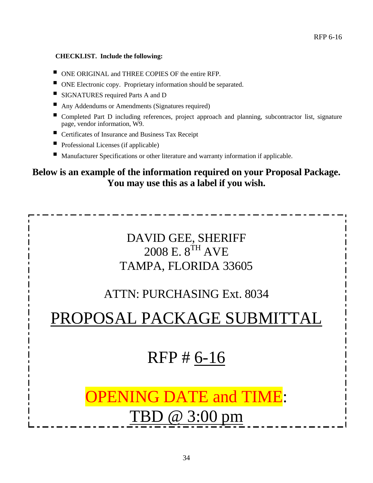#### **CHECKLIST. Include the following:**

- ONE ORIGINAL and THREE COPIES OF the entire RFP.
- ONE Electronic copy. Proprietary information should be separated.
- SIGNATURES required Parts A and D
- Any Addendums or Amendments (Signatures required)
- Completed Part D including references, project approach and planning, subcontractor list, signature page, vendor information, W9.
- Certificates of Insurance and Business Tax Receipt
- Professional Licenses (if applicable)
- Manufacturer Specifications or other literature and warranty information if applicable.

## **Below is an example of the information required on your Proposal Package. You may use this as a label if you wish.**

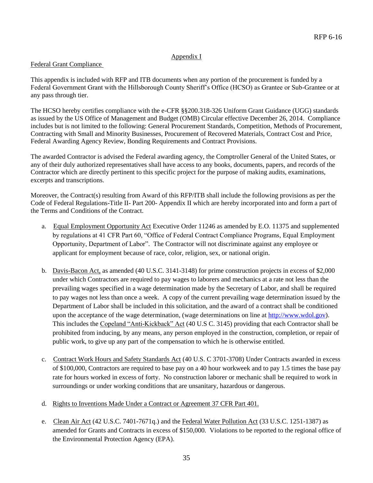#### Appendix I

#### Federal Grant Compliance

This appendix is included with RFP and ITB documents when any portion of the procurement is funded by a Federal Government Grant with the Hillsborough County Sheriff's Office (HCSO) as Grantee or Sub-Grantee or at any pass through tier.

The HCSO hereby certifies compliance with the e-CFR §§200.318-326 Uniform Grant Guidance (UGG) standards as issued by the US Office of Management and Budget (OMB) Circular effective December 26, 2014. Compliance includes but is not limited to the following: General Procurement Standards, Competition, Methods of Procurement, Contracting with Small and Minority Businesses, Procurement of Recovered Materials, Contract Cost and Price, Federal Awarding Agency Review, Bonding Requirements and Contract Provisions.

The awarded Contractor is advised the Federal awarding agency, the Comptroller General of the United States, or any of their duly authorized representatives shall have access to any books, documents, papers, and records of the Contractor which are directly pertinent to this specific project for the purpose of making audits, examinations, excerpts and transcriptions.

Moreover, the Contract(s) resulting from Award of this RFP/ITB shall include the following provisions as per the Code of Federal Regulations-Title II- Part 200- Appendix II which are hereby incorporated into and form a part of the Terms and Conditions of the Contract.

- a. Equal Employment Opportunity Act Executive Order 11246 as amended by E.O. 11375 and supplemented by regulations at 41 CFR Part 60, "Office of Federal Contract Compliance Programs, Equal Employment Opportunity, Department of Labor". The Contractor will not discriminate against any employee or applicant for employment because of race, color, religion, sex, or national origin.
- b. Davis-Bacon Act, as amended (40 U.S.C. 3141-3148) for prime construction projects in excess of \$2,000 under which Contractors are required to pay wages to laborers and mechanics at a rate not less than the prevailing wages specified in a wage determination made by the Secretary of Labor, and shall be required to pay wages not less than once a week. A copy of the current prevailing wage determination issued by the Department of Labor shall be included in this solicitation, and the award of a contract shall be conditioned upon the acceptance of the wage determination, (wage determinations on line at [http://www.wdol.gov\)](http://www.wdol.gov/). This includes the Copeland "Anti-Kickback" Act (40 U.S C. 3145) providing that each Contractor shall be prohibited from inducing, by any means, any person employed in the construction, completion, or repair of public work, to give up any part of the compensation to which he is otherwise entitled.
- c. Contract Work Hours and Safety Standards Act (40 U.S. C 3701-3708) Under Contracts awarded in excess of \$100,000, Contractors are required to base pay on a 40 hour workweek and to pay 1.5 times the base pay rate for hours worked in excess of forty. No construction laborer or mechanic shall be required to work in surroundings or under working conditions that are unsanitary, hazardous or dangerous.
- d. Rights to Inventions Made Under a Contract or Agreement 37 CFR Part 401.
- e. Clean Air Act (42 U.S.C. 7401-7671q.) and the Federal Water Pollution Act (33 U.S.C. 1251-1387) as amended for Grants and Contracts in excess of \$150,000. Violations to be reported to the regional office of the Environmental Protection Agency (EPA).